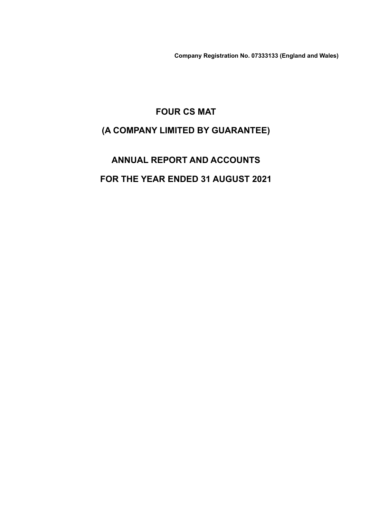**Company Registration No. 07333133 (England and Wales)**

# **FOUR CS MAT (A COMPANY LIMITED BY GUARANTEE)**

# **ANNUAL REPORT AND ACCOUNTS FOR THE YEAR ENDED 31 AUGUST 2021**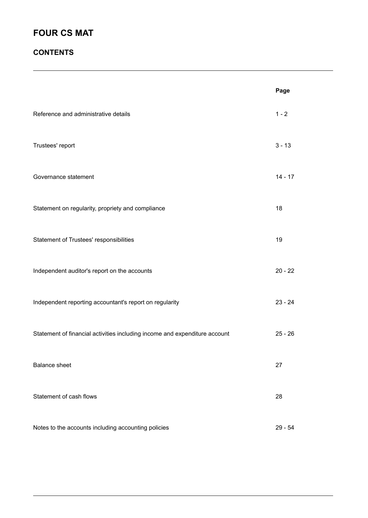### **CONTENTS**

|                                                                            | Page      |
|----------------------------------------------------------------------------|-----------|
| Reference and administrative details                                       | $1 - 2$   |
| Trustees' report                                                           | $3 - 13$  |
| Governance statement                                                       | $14 - 17$ |
| Statement on regularity, propriety and compliance                          | 18        |
| Statement of Trustees' responsibilities                                    | 19        |
| Independent auditor's report on the accounts                               | $20 - 22$ |
| Independent reporting accountant's report on regularity                    | $23 - 24$ |
| Statement of financial activities including income and expenditure account | $25 - 26$ |
| <b>Balance sheet</b>                                                       | 27        |
| Statement of cash flows                                                    | 28        |
| Notes to the accounts including accounting policies                        | $29 - 54$ |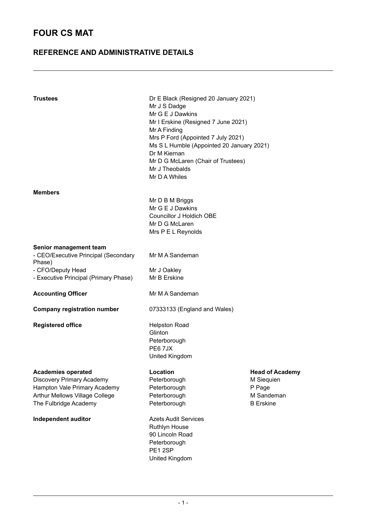### **REFERENCE AND ADMINISTRATIVE DETAILS**

| <b>Trustees</b>                                                                                                                                          | Dr E Black (Resigned 20 January 2021)<br>Mr J S Dadge<br>Mr G E J Dawkins<br>Mr I Erskine (Resigned 7 June 2021)<br>Mr A Finding<br>Mrs P Ford (Appointed 7 July 2021)<br>Ms S L Humble (Appointed 20 January 2021)<br>Dr M Kiernan<br>Mr D G McLaren (Chair of Trustees)<br>Mr J Theobalds<br>Mr D A Whiles |                                                                                  |
|----------------------------------------------------------------------------------------------------------------------------------------------------------|--------------------------------------------------------------------------------------------------------------------------------------------------------------------------------------------------------------------------------------------------------------------------------------------------------------|----------------------------------------------------------------------------------|
| <b>Members</b>                                                                                                                                           | Mr D B M Briggs<br>Mr G E J Dawkins<br>Councillor J Holdich OBE<br>Mr D G McLaren<br>Mrs P E L Reynolds                                                                                                                                                                                                      |                                                                                  |
| Senior management team<br>- CEO/Executive Principal (Secondary<br>Phase)<br>- CFO/Deputy Head<br>- Executive Principal (Primary Phase)                   | Mr M A Sandeman<br>Mr J Oakley<br>Mr B Erskine                                                                                                                                                                                                                                                               |                                                                                  |
| <b>Accounting Officer</b>                                                                                                                                | Mr M A Sandeman                                                                                                                                                                                                                                                                                              |                                                                                  |
| <b>Company registration number</b>                                                                                                                       | 07333133 (England and Wales)                                                                                                                                                                                                                                                                                 |                                                                                  |
| <b>Registered office</b>                                                                                                                                 | <b>Helpston Road</b><br>Glinton<br>Peterborough<br>PE67JX<br>United Kingdom                                                                                                                                                                                                                                  |                                                                                  |
| <b>Academies operated</b><br><b>Discovery Primary Academy</b><br>Hampton Vale Primary Academy<br>Arthur Mellows Village College<br>The Fulbridge Academy | Location<br>Peterborough<br>Peterborough<br>Peterborough<br>Peterborough                                                                                                                                                                                                                                     | <b>Head of Academy</b><br>M Siequien<br>P Page<br>M Sandeman<br><b>B</b> Erskine |
| Independent auditor                                                                                                                                      | <b>Azets Audit Services</b><br><b>Ruthlyn House</b><br>90 Lincoln Road<br>Peterborough<br>PE12SP<br>United Kingdom                                                                                                                                                                                           |                                                                                  |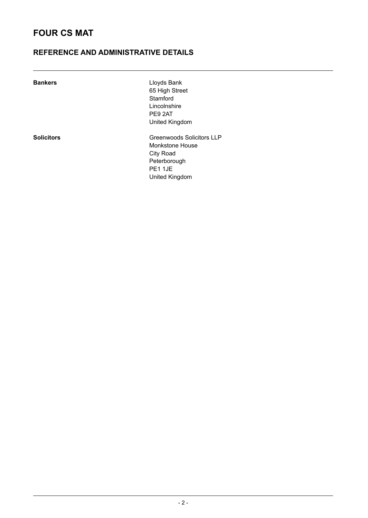### **REFERENCE AND ADMINISTRATIVE DETAILS**

| <b>Bankers</b>    | Lloyds Bank               |
|-------------------|---------------------------|
|                   | 65 High Street            |
|                   | Stamford                  |
|                   | Lincolnshire              |
|                   | PE9 2AT                   |
|                   | United Kingdom            |
| <b>Solicitors</b> | Greenwoods Solicitors LLP |
|                   | Monkstone House           |
|                   | City Road                 |
|                   | Peterborough              |
|                   | <b>PE1 1JE</b>            |

United Kingdom

 $-2 -$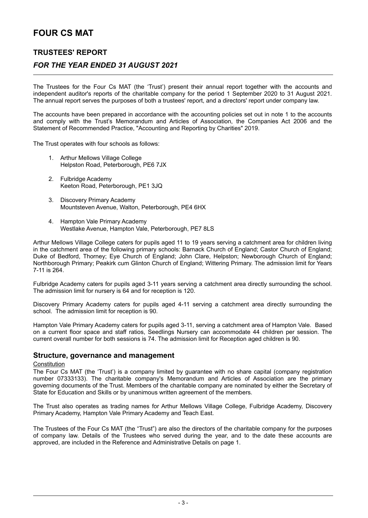### **TRUSTEES' REPORT**

### *FOR THE YEAR ENDED 31 AUGUST 2021*

The Trustees for the Four Cs MAT (the 'Trust') present their annual report together with the accounts and independent auditor's reports of the charitable company for the period 1 September 2020 to 31 August 2021. The annual report serves the purposes of both a trustees' report, and a directors' report under company law.

The accounts have been prepared in accordance with the accounting policies set out in note 1 to the accounts and comply with the Trust's Memorandum and Articles of Association, the Companies Act 2006 and the Statement of Recommended Practice, "Accounting and Reporting by Charities" 2019.

The Trust operates with four schools as follows:

- 1. Arthur Mellows Village College Helpston Road, Peterborough, PE6 7JX
- 2. Fulbridge Academy Keeton Road, Peterborough, PE1 3JQ
- 3. Discovery Primary Academy Mountsteven Avenue, Walton, Peterborough, PE4 6HX
- 4. Hampton Vale Primary Academy Westlake Avenue, Hampton Vale, Peterborough, PE7 8LS

Arthur Mellows Village College caters for pupils aged 11 to 19 years serving a catchment area for children living in the catchment area of the following primary schools: Barnack Church of England; Castor Church of England; Duke of Bedford, Thorney; Eye Church of England; John Clare, Helpston; Newborough Church of England; Northborough Primary; Peakirk cum Glinton Church of England; Wittering Primary. The admission limit for Years 7-11 is 264.

Fulbridge Academy caters for pupils aged 3-11 years serving a catchment area directly surrounding the school. The admission limit for nursery is 64 and for reception is 120.

Discovery Primary Academy caters for pupils aged 4-11 serving a catchment area directly surrounding the school. The admission limit for reception is 90.

Hampton Vale Primary Academy caters for pupils aged 3-11, serving a catchment area of Hampton Vale. Based on a current floor space and staff ratios, Seedlings Nursery can accommodate 44 children per session. The current overall number for both sessions is 74. The admission limit for Reception aged children is 90.

#### **Structure, governance and management**

#### **Constitution**

The Four Cs MAT (the 'Trust') is a company limited by guarantee with no share capital (company registration number 07333133). The charitable company's Memorandum and Articles of Association are the primary governing documents of the Trust. Members of the charitable company are nominated by either the Secretary of State for Education and Skills or by unanimous written agreement of the members.

The Trust also operates as trading names for Arthur Mellows Village College, Fulbridge Academy, Discovery Primary Academy, Hampton Vale Primary Academy and Teach East.

The Trustees of the Four Cs MAT (the "Trust") are also the directors of the charitable company for the purposes of company law. Details of the Trustees who served during the year, and to the date these accounts are approved, are included in the Reference and Administrative Details on page 1.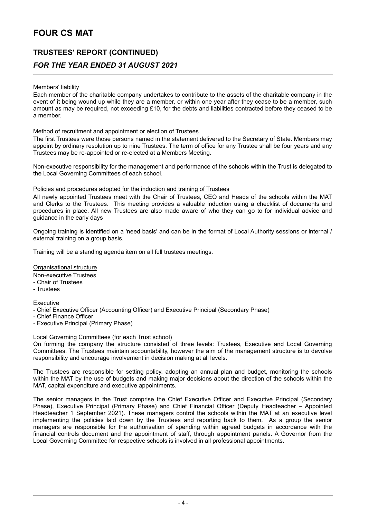# **TRUSTEES' REPORT (CONTINUED)** *FOR THE YEAR ENDED 31 AUGUST 2021*

#### Members' liability

Each member of the charitable company undertakes to contribute to the assets of the charitable company in the event of it being wound up while they are a member, or within one year after they cease to be a member, such amount as may be required, not exceeding £10, for the debts and liabilities contracted before they ceased to be a member.

#### Method of recruitment and appointment or election of Trustees

The first Trustees were those persons named in the statement delivered to the Secretary of State. Members may appoint by ordinary resolution up to nine Trustees. The term of office for any Trustee shall be four years and any Trustees may be re-appointed or re-elected at a Members Meeting.

Non-executive responsibility for the management and performance of the schools within the Trust is delegated to the Local Governing Committees of each school.

#### Policies and procedures adopted for the induction and training of Trustees

All newly appointed Trustees meet with the Chair of Trustees, CEO and Heads of the schools within the MAT and Clerks to the Trustees. This meeting provides a valuable induction using a checklist of documents and procedures in place. All new Trustees are also made aware of who they can go to for individual advice and guidance in the early days

Ongoing training is identified on a 'need basis' and can be in the format of Local Authority sessions or internal / external training on a group basis.

Training will be a standing agenda item on all full trustees meetings.

#### Organisational structure

Non-executive Trustees

- Chair of Trustees
- Trustees

#### **Executive**

- Chief Executive Officer (Accounting Officer) and Executive Principal (Secondary Phase)
- Chief Finance Officer
- Executive Principal (Primary Phase)

Local Governing Committees (for each Trust school)

On forming the company the structure consisted of three levels: Trustees, Executive and Local Governing Committees. The Trustees maintain accountability, however the aim of the management structure is to devolve responsibility and encourage involvement in decision making at all levels.

The Trustees are responsible for setting policy, adopting an annual plan and budget, monitoring the schools within the MAT by the use of budgets and making major decisions about the direction of the schools within the MAT, capital expenditure and executive appointments.

The senior managers in the Trust comprise the Chief Executive Officer and Executive Principal (Secondary Phase), Executive Principal (Primary Phase) and Chief Financial Officer (Deputy Headteacher – Appointed Headteacher 1 September 2021). These managers control the schools within the MAT at an executive level implementing the policies laid down by the Trustees and reporting back to them. As a group the senior managers are responsible for the authorisation of spending within agreed budgets in accordance with the financial controls document and the appointment of staff, through appointment panels. A Governor from the Local Governing Committee for respective schools is involved in all professional appointments.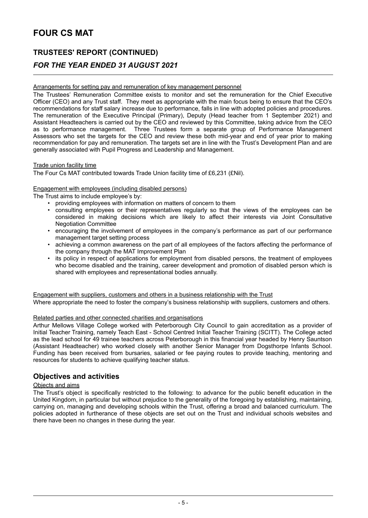# **TRUSTEES' REPORT (CONTINUED)**

### *FOR THE YEAR ENDED 31 AUGUST 2021*

#### Arrangements for setting pay and remuneration of key management personnel

The Trustees' Remuneration Committee exists to monitor and set the remuneration for the Chief Executive Officer (CEO) and any Trust staff. They meet as appropriate with the main focus being to ensure that the CEO's recommendations for staff salary increase due to performance, falls in line with adopted policies and procedures. The remuneration of the Executive Principal (Primary), Deputy (Head teacher from 1 September 2021) and Assistant Headteachers is carried out by the CEO and reviewed by this Committee, taking advice from the CEO as to performance management. Three Trustees form a separate group of Performance Management Assessors who set the targets for the CEO and review these both mid-year and end of year prior to making recommendation for pay and remuneration. The targets set are in line with the Trust's Development Plan and are generally associated with Pupil Progress and Leadership and Management.

#### Trade union facility time

The Four Cs MAT contributed towards Trade Union facility time of £6,231 (£Nil).

#### Engagement with employees (including disabled persons)

The Trust aims to include employee's by:

- providing employees with information on matters of concern to them
- consulting employees or their representatives regularly so that the views of the employees can be considered in making decisions which are likely to affect their interests via Joint Consultative Negotiation Committee
- encouraging the involvement of employees in the company's performance as part of our performance management target setting process
- achieving a common awareness on the part of all employees of the factors affecting the performance of the company through the MAT Improvement Plan
- its policy in respect of applications for employment from disabled persons, the treatment of employees who become disabled and the training, career development and promotion of disabled person which is shared with employees and representational bodies annually.

Engagement with suppliers, customers and others in a business relationship with the Trust

Where appropriate the need to foster the company's business relationship with suppliers, customers and others.

#### Related parties and other connected charities and organisations

Arthur Mellows Village College worked with Peterborough City Council to gain accreditation as a provider of Initial Teacher Training, namely Teach East - School Centred Initial Teacher Training (SCITT). The College acted as the lead school for 49 trainee teachers across Peterborough in this financial year headed by Henry Sauntson (Assistant Headteacher) who worked closely with another Senior Manager from Dogsthorpe Infants School. Funding has been received from bursaries, salaried or fee paying routes to provide teaching, mentoring and resources for students to achieve qualifying teacher status.

### **Objectives and activities**

#### Objects and aims

The Trust's object is specifically restricted to the following: to advance for the public benefit education in the United Kingdom, in particular but without prejudice to the generality of the foregoing by establishing, maintaining, carrying on, managing and developing schools within the Trust, offering a broad and balanced curriculum. The policies adopted in furtherance of these objects are set out on the Trust and individual schools websites and there have been no changes in these during the year.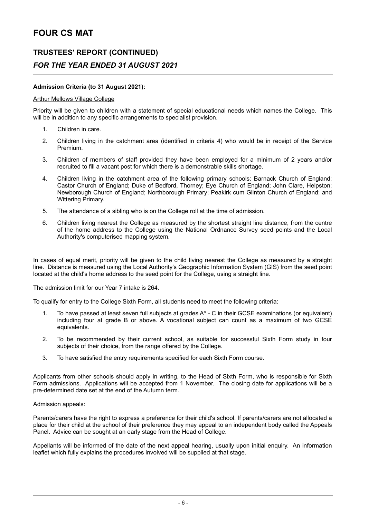### **TRUSTEES' REPORT (CONTINUED)**

### *FOR THE YEAR ENDED 31 AUGUST 2021*

#### **Admission Criteria (to 31 August 2021):**

#### Arthur Mellows Village College

Priority will be given to children with a statement of special educational needs which names the College. This will be in addition to any specific arrangements to specialist provision.

- 1. Children in care.
- 2. Children living in the catchment area (identified in criteria 4) who would be in receipt of the Service Premium.
- 3. Children of members of staff provided they have been employed for a minimum of 2 years and/or recruited to fill a vacant post for which there is a demonstrable skills shortage.
- 4. Children living in the catchment area of the following primary schools: Barnack Church of England; Castor Church of England; Duke of Bedford, Thorney; Eye Church of England; John Clare, Helpston; Newborough Church of England; Northborough Primary; Peakirk cum Glinton Church of England; and Wittering Primary.
- 5. The attendance of a sibling who is on the College roll at the time of admission.
- 6. Children living nearest the College as measured by the shortest straight line distance, from the centre of the home address to the College using the National Ordnance Survey seed points and the Local Authority's computerised mapping system.

In cases of equal merit, priority will be given to the child living nearest the College as measured by a straight line. Distance is measured using the Local Authority's Geographic Information System (GIS) from the seed point located at the child's home address to the seed point for the College, using a straight line.

The admission limit for our Year 7 intake is 264.

To qualify for entry to the College Sixth Form, all students need to meet the following criteria:

- 1. To have passed at least seven full subjects at grades A\* C in their GCSE examinations (or equivalent) including four at grade B or above. A vocational subject can count as a maximum of two GCSE equivalents.
- 2. To be recommended by their current school, as suitable for successful Sixth Form study in four subjects of their choice, from the range offered by the College.
- 3. To have satisfied the entry requirements specified for each Sixth Form course.

Applicants from other schools should apply in writing, to the Head of Sixth Form, who is responsible for Sixth Form admissions. Applications will be accepted from 1 November. The closing date for applications will be a pre-determined date set at the end of the Autumn term.

#### Admission appeals:

Parents/carers have the right to express a preference for their child's school. If parents/carers are not allocated a place for their child at the school of their preference they may appeal to an independent body called the Appeals Panel. Advice can be sought at an early stage from the Head of College.

Appellants will be informed of the date of the next appeal hearing, usually upon initial enquiry. An information leaflet which fully explains the procedures involved will be supplied at that stage.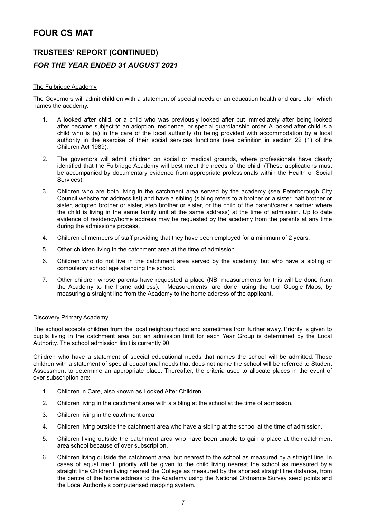### **TRUSTEES' REPORT (CONTINUED)** *FOR THE YEAR ENDED 31 AUGUST 2021*

#### The Fulbridge Academy

The Governors will admit children with a statement of special needs or an education health and care plan which names the academy.

- 1. A looked after child, or a child who was previously looked after but immediately after being looked after became subject to an adoption, residence, or special guardianship order. A looked after child is a child who is (a) in the care of the local authority (b) being provided with accommodation by a local authority in the exercise of their social services functions (see definition in section 22 (1) of the Children Act 1989).
- 2. The governors will admit children on social or medical grounds, where professionals have clearly identified that the Fulbridge Academy will best meet the needs of the child. (These applications must be accompanied by documentary evidence from appropriate professionals within the Health or Social Services).
- 3. Children who are both living in the catchment area served by the academy (see Peterborough City Council website for address list) and have a sibling (sibling refers to a brother or a sister, half brother or sister, adopted brother or sister, step brother or sister, or the child of the parent/carer's partner where the child is living in the same family unit at the same address) at the time of admission. Up to date evidence of residency/home address may be requested by the academy from the parents at any time during the admissions process.
- 4. Children of members of staff providing that they have been employed for a minimum of 2 years.
- 5. Other children living in the catchment area at the time of admission.
- 6. Children who do not live in the catchment area served by the academy, but who have a sibling of compulsory school age attending the school.
- 7. Other children whose parents have requested a place (NB: measurements for this will be done from the Academy to the home address). Measurements are done using the tool Google Maps, by measuring a straight line from the Academy to the home address of the applicant.

#### Discovery Primary Academy

The school accepts children from the local neighbourhood and sometimes from further away. Priority is given to pupils living in the catchment area but an admission limit for each Year Group is determined by the Local Authority. The school admission limit is currently 90.

Children who have a statement of special educational needs that names the school will be admitted. Those children with a statement of special educational needs that does not name the school will be referred to Student Assessment to determine an appropriate place. Thereafter, the criteria used to allocate places in the event of over subscription are:

- 1. Children in Care, also known as Looked After Children.
- 2. Children living in the catchment area with a sibling at the school at the time of admission.
- 3. Children living in the catchment area.
- 4. Children living outside the catchment area who have a sibling at the school at the time of admission.
- 5. Children living outside the catchment area who have been unable to gain a place at their catchment area school because of over subscription.
- 6. Children living outside the catchment area, but nearest to the school as measured by a straight line. In cases of equal merit, priority will be given to the child living nearest the school as measured by a straight line Children living nearest the College as measured by the shortest straight line distance, from the centre of the home address to the Academy using the National Ordnance Survey seed points and the Local Authority's computerised mapping system.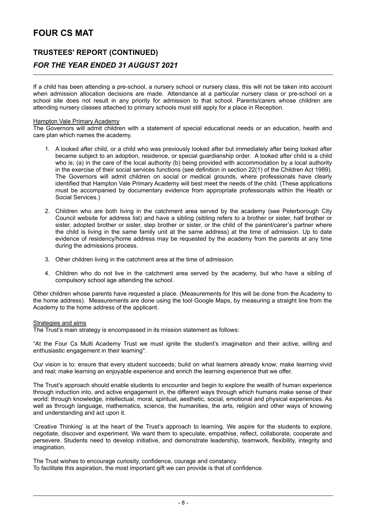### **TRUSTEES' REPORT (CONTINUED)** *FOR THE YEAR ENDED 31 AUGUST 2021*

If a child has been attending a pre-school, a nursery school or nursery class, this will not be taken into account when admission allocation decisions are made. Attendance at a particular nursery class or pre-school on a school site does not result in any priority for admission to that school. Parents/carers whose children are attending nursery classes attached to primary schools must still apply for a place in Reception.

#### Hampton Vale Primary Academy

The Governors will admit children with a statement of special educational needs or an education, health and care plan which names the academy.

- 1. A looked after child, or a child who was previously looked after but immediately after being looked after became subject to an adoption, residence, or special guardianship order. A looked after child is a child who is; (a) in the care of the local authority (b) being provided with accommodation by a local authority in the exercise of their social services functions (see definition in section 22(1) of the Children Act 1989). The Governors will admit children on social or medical grounds, where professionals have clearly identified that Hampton Vale Primary Academy will best meet the needs of the child. (These applications must be accompanied by documentary evidence from appropriate professionals within the Health or Social Services.)
- 2. Children who are both living in the catchment area served by the academy (see Peterborough City Council website for address list) and have a sibling (sibling refers to a brother or sister, half brother or sister, adopted brother or sister, step brother or sister, or the child of the parent/carer's partner where the child is living in the same family unit at the same address) at the time of admission. Up to date evidence of residency/home address may be requested by the academy from the parents at any time during the admissions process.
- 3. Other children living in the catchment area at the time of admission.
- 4. Children who do not live in the catchment area served by the academy, but who have a sibling of compulsory school age attending the school.

Other children whose parents have requested a place. (Measurements for this will be done from the Academy to the home address). Measurements are done using the tool Google Maps, by measuring a straight line from the Academy to the home address of the applicant.

#### Strategies and aims

The Trust's main strategy is encompassed in its mission statement as follows:

"At the Four Cs Multi Academy Trust we must ignite the student's imagination and their active, willing and enthusiastic engagement in their learning".

Our vision is to: ensure that every student succeeds; build on what learners already know; make learning vivid and real; make learning an enjoyable experience and enrich the learning experience that we offer.

The Trust's approach should enable students to encounter and begin to explore the wealth of human experience through induction into, and active engagement in, the different ways through which humans make sense of their world: through knowledge, intellectual, moral, spiritual, aesthetic, social, emotional and physical experiences. As well as through language, mathematics, science, the humanities, the arts, religion and other ways of knowing and understanding and act upon it.

'Creative Thinking' is at the heart of the Trust's approach to learning. We aspire for the students to explore, negotiate, discover and experiment. We want them to speculate, empathise, reflect, collaborate, cooperate and persevere. Students need to develop initiative, and demonstrate leadership, teamwork, flexibility, integrity and imagination.

The Trust wishes to encourage curiosity, confidence, courage and constancy.

To facilitate this aspiration, the most important gift we can provide is that of confidence.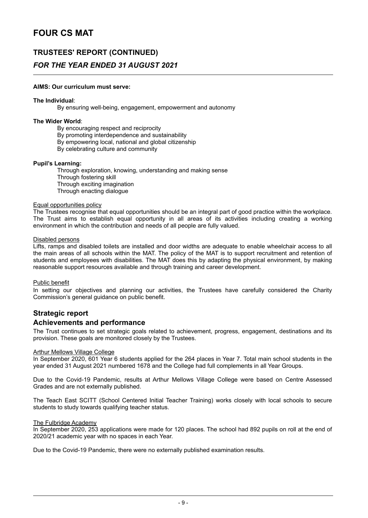### **TRUSTEES' REPORT (CONTINUED)**

### *FOR THE YEAR ENDED 31 AUGUST 2021*

#### **AIMS: Our curriculum must serve:**

#### **The Individual**:

By ensuring well-being, engagement, empowerment and autonomy

#### **The Wider World**:

By encouraging respect and reciprocity

By promoting interdependence and sustainability

By empowering local, national and global citizenship

By celebrating culture and community

#### **Pupil's Learning:**

Through exploration, knowing, understanding and making sense Through fostering skill Through exciting imagination Through enacting dialogue

#### Equal opportunities policy

The Trustees recognise that equal opportunities should be an integral part of good practice within the workplace. The Trust aims to establish equal opportunity in all areas of its activities including creating a working environment in which the contribution and needs of all people are fully valued.

#### Disabled persons

Lifts, ramps and disabled toilets are installed and door widths are adequate to enable wheelchair access to all the main areas of all schools within the MAT. The policy of the MAT is to support recruitment and retention of students and employees with disabilities. The MAT does this by adapting the physical environment, by making reasonable support resources available and through training and career development.

#### Public benefit

In setting our objectives and planning our activities, the Trustees have carefully considered the Charity Commission's general guidance on public benefit.

## **Strategic report**

#### **Achievements and performance**

The Trust continues to set strategic goals related to achievement, progress, engagement, destinations and its provision. These goals are monitored closely by the Trustees.

#### **Arthur Mellows Village College**

In September 2020, 601 Year 6 students applied for the 264 places in Year 7. Total main school students in the year ended 31 August 2021 numbered 1678 and the College had full complements in all Year Groups.

Due to the Covid-19 Pandemic, results at Arthur Mellows Village College were based on Centre Assessed Grades and are not externally published.

The Teach East SCITT (School Centered Initial Teacher Training) works closely with local schools to secure students to study towards qualifying teacher status.

#### The Fulbridge Academy

In September 2020, 253 applications were made for 120 places. The school had 892 pupils on roll at the end of 2020/21 academic year with no spaces in each Year.

Due to the Covid-19 Pandemic, there were no externally published examination results.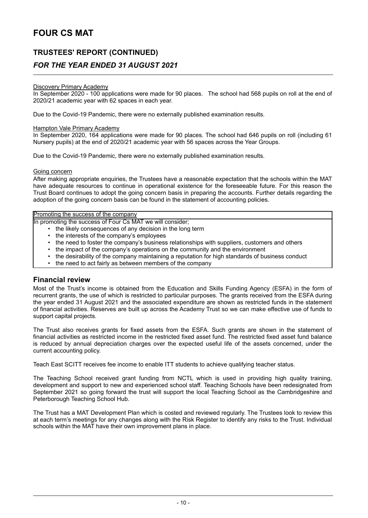### **TRUSTEES' REPORT (CONTINUED)**

### *FOR THE YEAR ENDED 31 AUGUST 2021*

#### Discovery Primary Academy

In September 2020 - 100 applications were made for 90 places. The school had 568 pupils on roll at the end of 2020/21 academic year with 62 spaces in each year.

Due to the Covid-19 Pandemic, there were no externally published examination results.

#### **Hampton Vale Primary Academy**

In September 2020, 164 applications were made for 90 places. The school had 646 pupils on roll (including 61 Nursery pupils) at the end of 2020/21 academic year with 56 spaces across the Year Groups.

Due to the Covid-19 Pandemic, there were no externally published examination results.

#### Going concern

After making appropriate enquiries, the Trustees have a reasonable expectation that the schools within the MAT have adequate resources to continue in operational existence for the foreseeable future. For this reason the Trust Board continues to adopt the going concern basis in preparing the accounts. Further details regarding the adoption of the going concern basis can be found in the statement of accounting policies.

#### Promoting the success of the company

In promoting the success of Four Cs MAT we will consider;

- the likely consequences of any decision in the long term
- the interests of the company's employees<br>• the need to foster the company's business
- the need to foster the company's business relationships with suppliers, customers and others
- the impact of the company's operations on the community and the environment<br>• the desirability of the company maintaining a reputation for high standards of bu
- the desirability of the company maintaining a reputation for high standards of business conduct
- the need to act fairly as between members of the company

#### **Financial review**

Most of the Trust's income is obtained from the Education and Skills Funding Agency (ESFA) in the form of recurrent grants, the use of which is restricted to particular purposes. The grants received from the ESFA during the year ended 31 August 2021 and the associated expenditure are shown as restricted funds in the statement of financial activities. Reserves are built up across the Academy Trust so we can make effective use of funds to support capital projects.

The Trust also receives grants for fixed assets from the ESFA. Such grants are shown in the statement of financial activities as restricted income in the restricted fixed asset fund. The restricted fixed asset fund balance is reduced by annual depreciation charges over the expected useful life of the assets concerned, under the current accounting policy.

Teach East SCITT receives fee income to enable ITT students to achieve qualifying teacher status.

The Teaching School received grant funding from NCTL which is used in providing high quality training, development and support to new and experienced school staff. Teaching Schools have been redesignated from September 2021 so going forward the trust will support the local Teaching School as the Cambridgeshire and Peterborough Teaching School Hub.

The Trust has a MAT Development Plan which is costed and reviewed regularly. The Trustees look to review this at each term's meetings for any changes along with the Risk Register to identify any risks to the Trust. Individual schools within the MAT have their own improvement plans in place.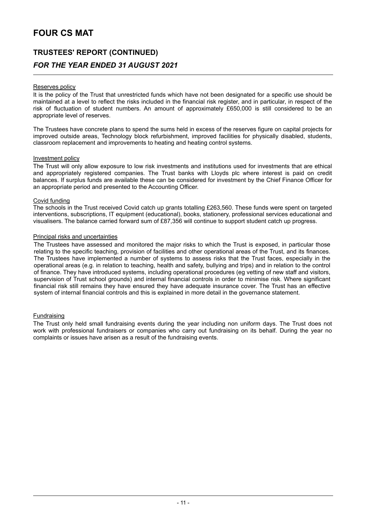# **TRUSTEES' REPORT (CONTINUED)** *FOR THE YEAR ENDED 31 AUGUST 2021*

#### Reserves policy

It is the policy of the Trust that unrestricted funds which have not been designated for a specific use should be maintained at a level to reflect the risks included in the financial risk register, and in particular, in respect of the risk of fluctuation of student numbers. An amount of approximately £650,000 is still considered to be an appropriate level of reserves.

The Trustees have concrete plans to spend the sums held in excess of the reserves figure on capital projects for improved outside areas, Technology block refurbishment, improved facilities for physically disabled, students, classroom replacement and improvements to heating and heating control systems.

#### Investment policy

The Trust will only allow exposure to low risk investments and institutions used for investments that are ethical and appropriately registered companies. The Trust banks with Lloyds plc where interest is paid on credit balances. If surplus funds are available these can be considered for investment by the Chief Finance Officer for an appropriate period and presented to the Accounting Officer.

#### Covid funding

The schools in the Trust received Covid catch up grants totalling £263,560. These funds were spent on targeted interventions, subscriptions, IT equipment (educational), books, stationery, professional services educational and visualisers. The balance carried forward sum of £87,356 will continue to support student catch up progress.

#### Principal risks and uncertainties

The Trustees have assessed and monitored the major risks to which the Trust is exposed, in particular those relating to the specific teaching, provision of facilities and other operational areas of the Trust, and its finances. The Trustees have implemented a number of systems to assess risks that the Trust faces, especially in the operational areas (e.g. in relation to teaching, health and safety, bullying and trips) and in relation to the control of finance. They have introduced systems, including operational procedures (eg vetting of new staff and visitors, supervision of Trust school grounds) and internal financial controls in order to minimise risk. Where significant financial risk still remains they have ensured they have adequate insurance cover. The Trust has an effective system of internal financial controls and this is explained in more detail in the governance statement.

#### Fundraising

The Trust only held small fundraising events during the year including non uniform days. The Trust does not work with professional fundraisers or companies who carry out fundraising on its behalf. During the year no complaints or issues have arisen as a result of the fundraising events.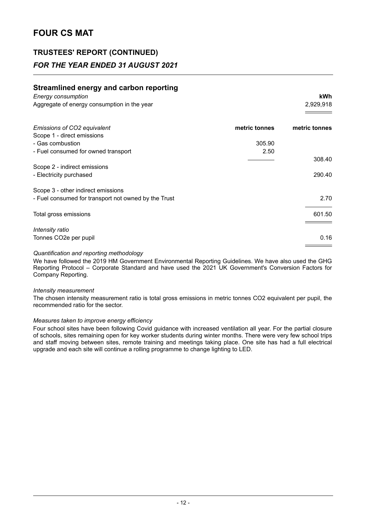### **TRUSTEES' REPORT (CONTINUED)**

### *FOR THE YEAR ENDED 31 AUGUST 2021*

### **Streamlined energy and carbon reporting**

| Energy consumption                          | kWh       |
|---------------------------------------------|-----------|
| Aggregate of energy consumption in the year | 2,929,918 |
|                                             |           |

| Emissions of CO2 equivalent                          | metric tonnes | metric tonnes |
|------------------------------------------------------|---------------|---------------|
| Scope 1 - direct emissions                           |               |               |
| - Gas combustion                                     | 305.90        |               |
| - Fuel consumed for owned transport                  | 2.50          |               |
|                                                      |               | 308.40        |
| Scope 2 - indirect emissions                         |               |               |
| - Electricity purchased                              |               | 290.40        |
| Scope 3 - other indirect emissions                   |               |               |
| - Fuel consumed for transport not owned by the Trust |               | 2.70          |
| Total gross emissions                                |               | 601.50        |
|                                                      |               |               |
| Intensity ratio                                      |               |               |
| Tonnes CO2e per pupil                                |               | 0.16          |

#### *Quantification and reporting methodology*

We have followed the 2019 HM Government Environmental Reporting Guidelines. We have also used the GHG Reporting Protocol – Corporate Standard and have used the 2021 UK Government's Conversion Factors for Company Reporting.

#### *Intensity measurement*

The chosen intensity measurement ratio is total gross emissions in metric tonnes CO2 equivalent per pupil, the recommended ratio for the sector.

#### *Measures taken to improve energy efficiency*

Four school sites have been following Covid guidance with increased ventilation all year. For the partial closure of schools, sites remaining open for key worker students during winter months. There were very few school trips and staff moving between sites, remote training and meetings taking place. One site has had a full electrical upgrade and each site will continue a rolling programme to change lighting to LED.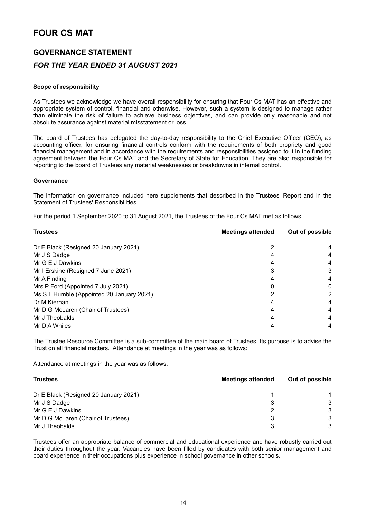## **GOVERNANCE STATEMENT** *FOR THE YEAR ENDED 31 AUGUST 2021*

#### **Scope of responsibility**

As Trustees we acknowledge we have overall responsibility for ensuring that Four Cs MAT has an effective and appropriate system of control, financial and otherwise. However, such a system is designed to manage rather than eliminate the risk of failure to achieve business objectives, and can provide only reasonable and not absolute assurance against material misstatement or loss.

The board of Trustees has delegated the day-to-day responsibility to the Chief Executive Officer (CEO), as accounting officer, for ensuring financial controls conform with the requirements of both propriety and good financial management and in accordance with the requirements and responsibilities assigned to it in the funding agreement between the Four Cs MAT and the Secretary of State for Education. They are also responsible for reporting to the board of Trustees any material weaknesses or breakdowns in internal control.

#### **Governance**

The information on governance included here supplements that described in the Trustees' Report and in the Statement of Trustees' Responsibilities.

For the period 1 September 2020 to 31 August 2021, the Trustees of the Four Cs MAT met as follows:

| <b>Trustees</b>                           | <b>Meetings attended</b> | Out of possible |
|-------------------------------------------|--------------------------|-----------------|
| Dr E Black (Resigned 20 January 2021)     |                          | 4               |
| Mr J S Dadge                              |                          | 4               |
| Mr G E J Dawkins                          |                          | 4               |
| Mr I Erskine (Resigned 7 June 2021)       |                          | 3               |
| Mr A Finding                              |                          | 4               |
| Mrs P Ford (Appointed 7 July 2021)        |                          | 0               |
| Ms S L Humble (Appointed 20 January 2021) |                          | 2               |
| Dr M Kiernan                              |                          | 4               |
| Mr D G McLaren (Chair of Trustees)        |                          | 4               |
| Mr J Theobalds                            |                          | 4               |
| Mr D A Whiles                             |                          | 4               |

The Trustee Resource Committee is a sub-committee of the main board of Trustees. Its purpose is to advise the Trust on all financial matters. Attendance at meetings in the year was as follows:

Attendance at meetings in the year was as follows:

| <b>Trustees</b>                       | <b>Meetings attended</b> | Out of possible |
|---------------------------------------|--------------------------|-----------------|
| Dr E Black (Resigned 20 January 2021) |                          |                 |
| Mr J S Dadge                          |                          | 3               |
| Mr G E J Dawkins                      |                          | 3               |
| Mr D G McLaren (Chair of Trustees)    |                          | 3               |
| Mr J Theobalds                        |                          | 3               |

Trustees offer an appropriate balance of commercial and educational experience and have robustly carried out their duties throughout the year. Vacancies have been filled by candidates with both senior management and board experience in their occupations plus experience in school governance in other schools.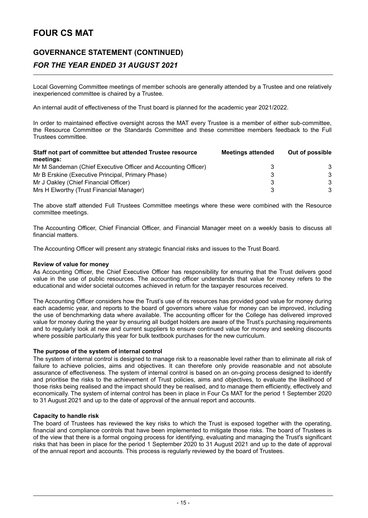### **GOVERNANCE STATEMENT (CONTINUED)**

### *FOR THE YEAR ENDED 31 AUGUST 2021*

Local Governing Committee meetings of member schools are generally attended by a Trustee and one relatively inexperienced committee is chaired by a Trustee.

An internal audit of effectiveness of the Trust board is planned for the academic year 2021/2022.

In order to maintained effective oversight across the MAT every Trustee is a member of either sub-committee, the Resource Committee or the Standards Committee and these committee members feedback to the Full Trustees committee.

| Staff not part of committee but attended Trustee resource<br>meetings: | <b>Meetings attended</b> | Out of possible |
|------------------------------------------------------------------------|--------------------------|-----------------|
| Mr M Sandeman (Chief Executive Officer and Accounting Officer)         | ર                        | 3               |
| Mr B Erskine (Executive Principal, Primary Phase)                      | З                        | 3               |
| Mr J Oakley (Chief Financial Officer)                                  | 3                        | 3               |
| Mrs H Elworthy (Trust Financial Manager)                               | ર                        | 3               |

The above staff attended Full Trustees Committee meetings where these were combined with the Resource committee meetings.

The Accounting Officer, Chief Financial Officer, and Financial Manager meet on a weekly basis to discuss all financial matters.

The Accounting Officer will present any strategic financial risks and issues to the Trust Board.

#### **Review of value for money**

As Accounting Officer, the Chief Executive Officer has responsibility for ensuring that the Trust delivers good value in the use of public resources. The accounting officer understands that value for money refers to the educational and wider societal outcomes achieved in return for the taxpayer resources received.

The Accounting Officer considers how the Trust's use of its resources has provided good value for money during each academic year, and reports to the board of governors where value for money can be improved, including the use of benchmarking data where available. The accounting officer for the College has delivered improved value for money during the year by ensuring all budget holders are aware of the Trust's purchasing requirements and to regularly look at new and current suppliers to ensure continued value for money and seeking discounts where possible particularly this year for bulk textbook purchases for the new curriculum.

#### **The purpose of the system of internal control**

The system of internal control is designed to manage risk to a reasonable level rather than to eliminate all risk of failure to achieve policies, aims and objectives. It can therefore only provide reasonable and not absolute assurance of effectiveness. The system of internal control is based on an on-going process designed to identify and prioritise the risks to the achievement of Trust policies, aims and objectives, to evaluate the likelihood of those risks being realised and the impact should they be realised, and to manage them efficiently, effectively and economically. The system of internal control has been in place in Four Cs MAT for the period 1 September 2020 to 31 August 2021 and up to the date of approval of the annual report and accounts.

#### **Capacity to handle risk**

The board of Trustees has reviewed the key risks to which the Trust is exposed together with the operating, financial and compliance controls that have been implemented to mitigate those risks. The board of Trustees is of the view that there is a formal ongoing process for identifying, evaluating and managing the Trust's significant risks that has been in place for the period 1 September 2020 to 31 August 2021 and up to the date of approval of the annual report and accounts. This process is regularly reviewed by the board of Trustees.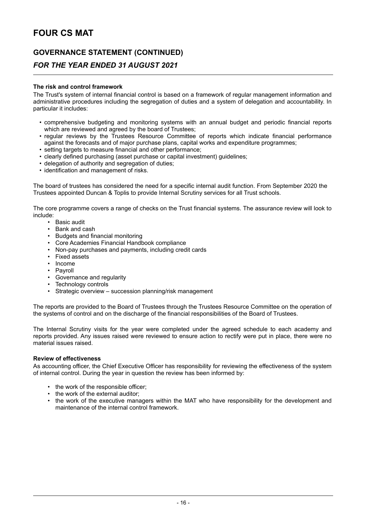### **GOVERNANCE STATEMENT (CONTINUED)**

### *FOR THE YEAR ENDED 31 AUGUST 2021*

#### **The risk and control framework**

The Trust's system of internal financial control is based on a framework of regular management information and administrative procedures including the segregation of duties and a system of delegation and accountability. In particular it includes:

- comprehensive budgeting and monitoring systems with an annual budget and periodic financial reports which are reviewed and agreed by the board of Trustees;
- regular reviews by the Trustees Resource Committee of reports which indicate financial performance against the forecasts and of major purchase plans, capital works and expenditure programmes;
- setting targets to measure financial and other performance;
- clearly defined purchasing (asset purchase or capital investment) guidelines;
- delegation of authority and segregation of duties;
- identification and management of risks.

The board of trustees has considered the need for a specific internal audit function. From September 2020 the Trustees appointed Duncan & Toplis to provide Internal Scrutiny services for all Trust schools.

The core programme covers a range of checks on the Trust financial systems. The assurance review will look to include:

- Basic audit
- Bank and cash<br>• Budgets and fire
- Budgets and financial monitoring
- Core Academies Financial Handbook compliance
- Non-pay purchases and payments, including credit cards
- Fixed assets
- Income
- Payroll
- Governance and regularity
- Technology controls<br>• Strategic overview -
- Strategic overview succession planning/risk management

The reports are provided to the Board of Trustees through the Trustees Resource Committee on the operation of the systems of control and on the discharge of the financial responsibilities of the Board of Trustees.

The Internal Scrutiny visits for the year were completed under the agreed schedule to each academy and reports provided. Any issues raised were reviewed to ensure action to rectify were put in place, there were no material issues raised.

#### **Review of effectiveness**

As accounting officer, the Chief Executive Officer has responsibility for reviewing the effectiveness of the system of internal control. During the year in question the review has been informed by:

- the work of the responsible officer;
- the work of the external auditor;
- the work of the executive managers within the MAT who have responsibility for the development and maintenance of the internal control framework.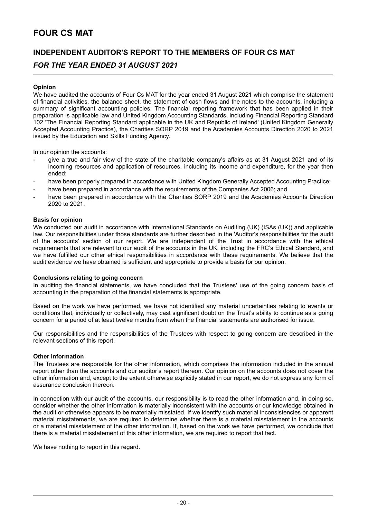## **INDEPENDENT AUDITOR'S REPORT TO THE MEMBERS OF FOUR CS MAT**

### *FOR THE YEAR ENDED 31 AUGUST 2021*

#### **Opinion**

We have audited the accounts of Four Cs MAT for the year ended 31 August 2021 which comprise the statement of financial activities, the balance sheet, the statement of cash flows and the notes to the accounts, including a summary of significant accounting policies. The financial reporting framework that has been applied in their preparation is applicable law and United Kingdom Accounting Standards, including Financial Reporting Standard 102 'The Financial Reporting Standard applicable in the UK and Republic of Ireland' (United Kingdom Generally Accepted Accounting Practice), the Charities SORP 2019 and the Academies Accounts Direction 2020 to 2021 issued by the Education and Skills Funding Agency.

In our opinion the accounts:

- give a true and fair view of the state of the charitable company's affairs as at 31 August 2021 and of its incoming resources and application of resources, including its income and expenditure, for the year then ended;
- have been properly prepared in accordance with United Kingdom Generally Accepted Accounting Practice;
- have been prepared in accordance with the requirements of the Companies Act 2006; and
- have been prepared in accordance with the Charities SORP 2019 and the Academies Accounts Direction 2020 to 2021.

#### **Basis for opinion**

We conducted our audit in accordance with International Standards on Auditing (UK) (ISAs (UK)) and applicable law. Our responsibilities under those standards are further described in the 'Auditor's responsibilities for the audit of the accounts' section of our report. We are independent of the Trust in accordance with the ethical requirements that are relevant to our audit of the accounts in the UK, including the FRC's Ethical Standard, and we have fulfilled our other ethical responsibilities in accordance with these requirements. We believe that the audit evidence we have obtained is sufficient and appropriate to provide a basis for our opinion.

#### **Conclusions relating to going concern**

In auditing the financial statements, we have concluded that the Trustees' use of the going concern basis of accounting in the preparation of the financial statements is appropriate.

Based on the work we have performed, we have not identified any material uncertainties relating to events or conditions that, individually or collectively, may cast significant doubt on the Trust's ability to continue as a going concern for a period of at least twelve months from when the financial statements are authorised for issue.

Our responsibilities and the responsibilities of the Trustees with respect to going concern are described in the relevant sections of this report.

#### **Other information**

The Trustees are responsible for the other information, which comprises the information included in the annual report other than the accounts and our auditor's report thereon. Our opinion on the accounts does not cover the other information and, except to the extent otherwise explicitly stated in our report, we do not express any form of assurance conclusion thereon.

In connection with our audit of the accounts, our responsibility is to read the other information and, in doing so, consider whether the other information is materially inconsistent with the accounts or our knowledge obtained in the audit or otherwise appears to be materially misstated. If we identify such material inconsistencies or apparent material misstatements, we are required to determine whether there is a material misstatement in the accounts or a material misstatement of the other information. If, based on the work we have performed, we conclude that there is a material misstatement of this other information, we are required to report that fact.

We have nothing to report in this regard.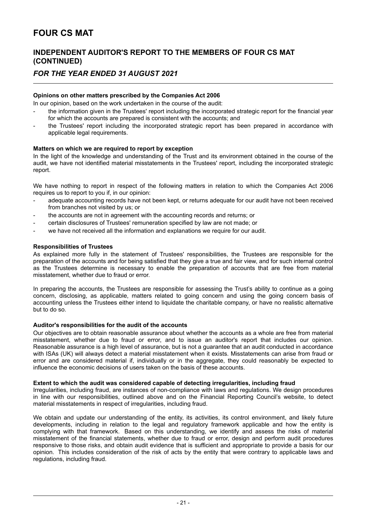### **INDEPENDENT AUDITOR'S REPORT TO THE MEMBERS OF FOUR CS MAT (CONTINUED)**

### *FOR THE YEAR ENDED 31 AUGUST 2021*

#### **Opinions on other matters prescribed by the Companies Act 2006**

In our opinion, based on the work undertaken in the course of the audit:

- the information given in the Trustees' report including the incorporated strategic report for the financial year for which the accounts are prepared is consistent with the accounts; and
- the Trustees' report including the incorporated strategic report has been prepared in accordance with applicable legal requirements.

#### **Matters on which we are required to report by exception**

In the light of the knowledge and understanding of the Trust and its environment obtained in the course of the audit, we have not identified material misstatements in the Trustees' report, including the incorporated strategic report.

We have nothing to report in respect of the following matters in relation to which the Companies Act 2006 requires us to report to you if, in our opinion:

- adequate accounting records have not been kept, or returns adequate for our audit have not been received from branches not visited by us; or
- the accounts are not in agreement with the accounting records and returns; or
- certain disclosures of Trustees' remuneration specified by law are not made; or
- we have not received all the information and explanations we require for our audit.

#### **Responsibilities of Trustees**

As explained more fully in the statement of Trustees' responsibilities, the Trustees are responsible for the preparation of the accounts and for being satisfied that they give a true and fair view, and for such internal control as the Trustees determine is necessary to enable the preparation of accounts that are free from material misstatement, whether due to fraud or error.

In preparing the accounts, the Trustees are responsible for assessing the Trust's ability to continue as a going concern, disclosing, as applicable, matters related to going concern and using the going concern basis of accounting unless the Trustees either intend to liquidate the charitable company, or have no realistic alternative but to do so.

#### **Auditor's responsibilities for the audit of the accounts**

Our objectives are to obtain reasonable assurance about whether the accounts as a whole are free from material misstatement, whether due to fraud or error, and to issue an auditor's report that includes our opinion. Reasonable assurance is a high level of assurance, but is not a guarantee that an audit conducted in accordance with ISAs (UK) will always detect a material misstatement when it exists. Misstatements can arise from fraud or error and are considered material if, individually or in the aggregate, they could reasonably be expected to influence the economic decisions of users taken on the basis of these accounts.

#### **Extent to which the audit was considered capable of detecting irregularities, including fraud**

Irregularities, including fraud, are instances of non-compliance with laws and regulations. We design procedures in line with our responsibilities, outlined above and on the Financial Reporting Council's website, to detect material misstatements in respect of irregularities, including fraud.

We obtain and update our understanding of the entity, its activities, its control environment, and likely future developments, including in relation to the legal and regulatory framework applicable and how the entity is complying with that framework. Based on this understanding, we identify and assess the risks of material misstatement of the financial statements, whether due to fraud or error, design and perform audit procedures responsive to those risks, and obtain audit evidence that is sufficient and appropriate to provide a basis for our opinion. This includes consideration of the risk of acts by the entity that were contrary to applicable laws and regulations, including fraud.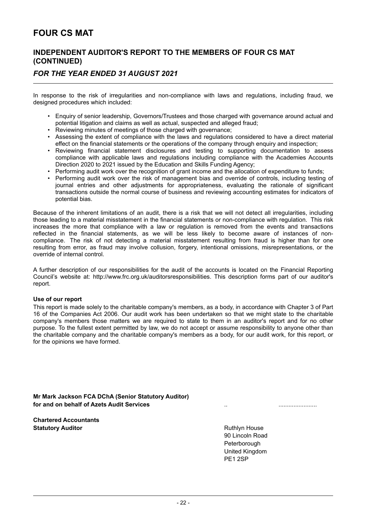### **INDEPENDENT AUDITOR'S REPORT TO THE MEMBERS OF FOUR CS MAT (CONTINUED)**

### *FOR THE YEAR ENDED 31 AUGUST 2021*

In response to the risk of irregularities and non-compliance with laws and regulations, including fraud, we designed procedures which included:

- Enquiry of senior leadership, Governors/Trustees and those charged with governance around actual and potential litigation and claims as well as actual, suspected and alleged fraud;
- Reviewing minutes of meetings of those charged with governance;
- Assessing the extent of compliance with the laws and regulations considered to have a direct material effect on the financial statements or the operations of the company through enquiry and inspection;
- Reviewing financial statement disclosures and testing to supporting documentation to assess compliance with applicable laws and regulations including compliance with the Academies Accounts Direction 2020 to 2021 issued by the Education and Skills Funding Agency;
- Performing audit work over the recognition of grant income and the allocation of expenditure to funds;
- Performing audit work over the risk of management bias and override of controls, including testing of journal entries and other adjustments for appropriateness, evaluating the rationale of significant transactions outside the normal course of business and reviewing accounting estimates for indicators of potential bias.

Because of the inherent limitations of an audit, there is a risk that we will not detect all irregularities, including those leading to a material misstatement in the financial statements or non-compliance with regulation. This risk increases the more that compliance with a law or regulation is removed from the events and transactions reflected in the financial statements, as we will be less likely to become aware of instances of noncompliance. The risk of not detecting a material misstatement resulting from fraud is higher than for one resulting from error, as fraud may involve collusion, forgery, intentional omissions, misrepresentations, or the override of internal control.

A further description of our responsibilities for the audit of the accounts is located on the Financial Reporting Council's website at: http://www.frc.org.uk/auditorsresponsibilities. This description forms part of our auditor's report.

#### **Use of our report**

This report is made solely to the charitable company's members, as a body, in accordance with Chapter 3 of Part 16 of the Companies Act 2006. Our audit work has been undertaken so that we might state to the charitable company's members those matters we are required to state to them in an auditor's report and for no other purpose. To the fullest extent permitted by law, we do not accept or assume responsibility to anyone other than the charitable company and the charitable company's members as a body, for our audit work, for this report, or for the opinions we have formed.

**Mr Mark Jackson FCA DChA (Senior Statutory Auditor) for and on behalf of Azets Audit Services** ..21 December 2021.......................

**Chartered Accountants Statutory Auditor Contract Contract Contract Contract Contract Contract Contract Contract Contract Contract Contract Contract Contract Contract Contract Contract Contract Contract Contract Contract Contract Contract Con** 

90 Lincoln Road Peterborough United Kingdom PE1 2SP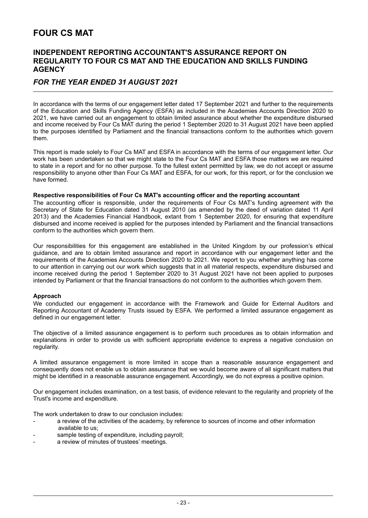### **INDEPENDENT REPORTING ACCOUNTANT'S ASSURANCE REPORT ON REGULARITY TO FOUR CS MAT AND THE EDUCATION AND SKILLS FUNDING AGENCY**

### *FOR THE YEAR ENDED 31 AUGUST 2021*

In accordance with the terms of our engagement letter dated 17 September 2021 and further to the requirements of the Education and Skills Funding Agency (ESFA) as included in the Academies Accounts Direction 2020 to 2021, we have carried out an engagement to obtain limited assurance about whether the expenditure disbursed and income received by Four Cs MAT during the period 1 September 2020 to 31 August 2021 have been applied to the purposes identified by Parliament and the financial transactions conform to the authorities which govern them.

This report is made solely to Four Cs MAT and ESFA in accordance with the terms of our engagement letter. Our work has been undertaken so that we might state to the Four Cs MAT and ESFA those matters we are required to state in a report and for no other purpose. To the fullest extent permitted by law, we do not accept or assume responsibility to anyone other than Four Cs MAT and ESFA, for our work, for this report, or for the conclusion we have formed.

#### **Respective responsibilities of Four Cs MAT's accounting officer and the reporting accountant**

The accounting officer is responsible, under the requirements of Four Cs MAT's funding agreement with the Secretary of State for Education dated 31 August 2010 (as amended by the deed of variation dated 11 April 2013) and the Academies Financial Handbook, extant from 1 September 2020, for ensuring that expenditure disbursed and income received is applied for the purposes intended by Parliament and the financial transactions conform to the authorities which govern them.

Our responsibilities for this engagement are established in the United Kingdom by our profession's ethical guidance, and are to obtain limited assurance and report in accordance with our engagement letter and the requirements of the Academies Accounts Direction 2020 to 2021. We report to you whether anything has come to our attention in carrying out our work which suggests that in all material respects, expenditure disbursed and income received during the period 1 September 2020 to 31 August 2021 have not been applied to purposes intended by Parliament or that the financial transactions do not conform to the authorities which govern them.

#### **Approach**

We conducted our engagement in accordance with the Framework and Guide for External Auditors and Reporting Accountant of Academy Trusts issued by ESFA. We performed a limited assurance engagement as defined in our engagement letter.

The objective of a limited assurance engagement is to perform such procedures as to obtain information and explanations in order to provide us with sufficient appropriate evidence to express a negative conclusion on regularity.

A limited assurance engagement is more limited in scope than a reasonable assurance engagement and consequently does not enable us to obtain assurance that we would become aware of all significant matters that might be identified in a reasonable assurance engagement. Accordingly, we do not express a positive opinion.

Our engagement includes examination, on a test basis, of evidence relevant to the regularity and propriety of the Trust's income and expenditure.

The work undertaken to draw to our conclusion includes:

- a review of the activities of the academy, by reference to sources of income and other information available to us;
- sample testing of expenditure, including payroll;
- a review of minutes of trustees' meetings.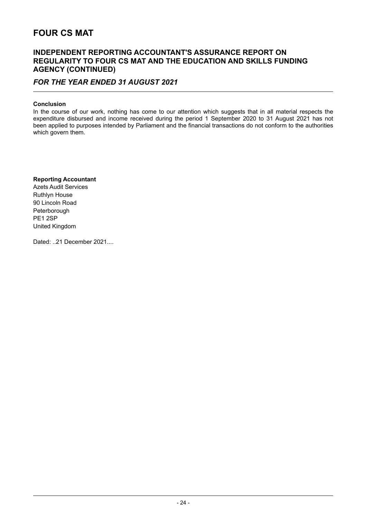### **INDEPENDENT REPORTING ACCOUNTANT'S ASSURANCE REPORT ON REGULARITY TO FOUR CS MAT AND THE EDUCATION AND SKILLS FUNDING AGENCY (CONTINUED)**

### *FOR THE YEAR ENDED 31 AUGUST 2021*

#### **Conclusion**

In the course of our work, nothing has come to our attention which suggests that in all material respects the expenditure disbursed and income received during the period 1 September 2020 to 31 August 2021 has not been applied to purposes intended by Parliament and the financial transactions do not conform to the authorities which govern them.

#### **Reporting Accountant**

Azets Audit Services Ruthlyn House 90 Lincoln Road Peterborough PE1 2SP United Kingdom

Dated: ..21 December 2021....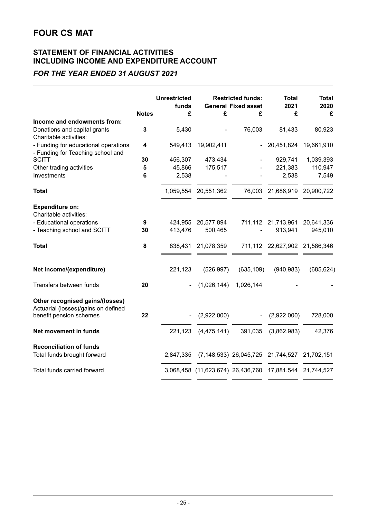### **STATEMENT OF FINANCIAL ACTIVITIES INCLUDING INCOME AND EXPENDITURE ACCOUNT**

### *FOR THE YEAR ENDED 31 AUGUST 2021*

|                                                                        | <b>Unrestricted</b><br>funds |           |                                                         | <b>Restricted funds:</b><br><b>General Fixed asset</b> |                               | <b>Total</b><br>2020 |
|------------------------------------------------------------------------|------------------------------|-----------|---------------------------------------------------------|--------------------------------------------------------|-------------------------------|----------------------|
|                                                                        | <b>Notes</b>                 | £         | £                                                       | £                                                      | £                             | £                    |
| Income and endowments from:                                            |                              |           |                                                         |                                                        |                               |                      |
| Donations and capital grants                                           | 3                            | 5,430     |                                                         | 76,003                                                 | 81,433                        | 80,923               |
| Charitable activities:                                                 |                              |           |                                                         |                                                        |                               |                      |
| - Funding for educational operations                                   | 4                            | 549,413   | 19,902,411                                              | $\sim$ $-$                                             | 20,451,824                    | 19,661,910           |
| - Funding for Teaching school and                                      |                              |           |                                                         |                                                        |                               |                      |
| <b>SCITT</b>                                                           | 30                           | 456,307   | 473,434                                                 |                                                        | 929,741                       | 1,039,393            |
| Other trading activities                                               | 5                            | 45,866    | 175,517                                                 |                                                        | 221,383                       | 110,947              |
| Investments                                                            | 6                            | 2,538     |                                                         |                                                        | 2,538                         | 7,549                |
| <b>Total</b>                                                           |                              | 1,059,554 | 20,551,362                                              | 76,003                                                 | 21,686,919                    | 20,900,722           |
| <b>Expenditure on:</b>                                                 |                              |           |                                                         |                                                        |                               |                      |
| Charitable activities:                                                 |                              |           |                                                         |                                                        |                               |                      |
| - Educational operations                                               | 9                            | 424,955   | 20,577,894                                              |                                                        | 711,112 21,713,961            | 20,641,336           |
| - Teaching school and SCITT                                            | 30                           | 413,476   | 500,465                                                 |                                                        | 913,941                       | 945,010              |
| <b>Total</b>                                                           | 8                            | 838,431   | 21,078,359                                              |                                                        | 711,112 22,627,902 21,586,346 |                      |
| Net income/(expenditure)                                               |                              | 221,123   | (526, 997)                                              | (635, 109)                                             | (940, 983)                    | (685, 624)           |
|                                                                        |                              |           |                                                         |                                                        |                               |                      |
| Transfers between funds                                                | 20                           |           | (1,026,144)                                             | 1,026,144                                              |                               |                      |
| Other recognised gains/(losses)<br>Actuarial (losses)/gains on defined |                              |           |                                                         |                                                        |                               |                      |
| benefit pension schemes                                                | 22                           |           | (2,922,000)                                             | $\blacksquare$                                         | (2,922,000)                   | 728,000              |
| Net movement in funds                                                  |                              | 221,123   | (4, 475, 141)                                           | 391,035                                                | (3,862,983)                   | 42,376               |
| <b>Reconciliation of funds</b>                                         |                              |           |                                                         |                                                        |                               |                      |
| Total funds brought forward                                            |                              | 2,847,335 |                                                         | (7,148,533) 26,045,725 21,744,527 21,702,151           |                               |                      |
| Total funds carried forward                                            |                              |           | 3,068,458 (11,623,674) 26,436,760 17,881,544 21,744,527 |                                                        |                               |                      |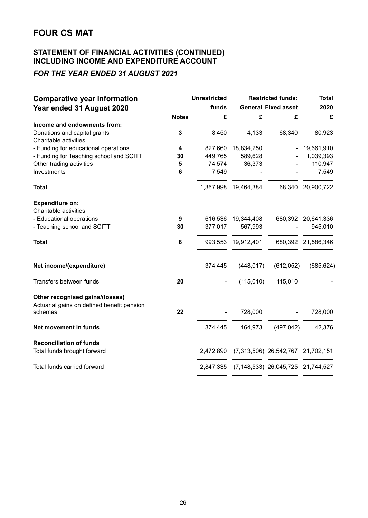### **STATEMENT OF FINANCIAL ACTIVITIES (CONTINUED) INCLUDING INCOME AND EXPENDITURE ACCOUNT**

### *FOR THE YEAR ENDED 31 AUGUST 2021*

| <b>Comparative year information</b>                                                            | <b>Unrestricted</b><br>funds | <b>Restricted funds:</b><br><b>General Fixed asset</b> |                                   | <b>Total</b><br>2020 |
|------------------------------------------------------------------------------------------------|------------------------------|--------------------------------------------------------|-----------------------------------|----------------------|
| Year ended 31 August 2020<br><b>Notes</b>                                                      | £                            | £                                                      | £                                 | £                    |
| Income and endowments from:                                                                    |                              |                                                        |                                   |                      |
| Donations and capital grants<br>3<br>Charitable activities:                                    | 8,450                        | 4,133                                                  | 68,340                            | 80,923               |
| - Funding for educational operations<br>4                                                      | 827,660                      | 18,834,250                                             |                                   | 19,661,910           |
| - Funding for Teaching school and SCITT<br>30                                                  | 449,765                      | 589,628                                                |                                   | 1,039,393            |
| Other trading activities<br>5                                                                  | 74,574                       | 36,373                                                 |                                   | 110,947              |
| Investments<br>6                                                                               | 7,549                        |                                                        |                                   | 7,549                |
| <b>Total</b>                                                                                   |                              | 1,367,998 19,464,384                                   |                                   | 68,340 20,900,722    |
| <b>Expenditure on:</b><br>Charitable activities:                                               |                              |                                                        |                                   |                      |
| - Educational operations<br>9                                                                  |                              | 616,536 19,344,408                                     |                                   | 680,392 20,641,336   |
| - Teaching school and SCITT<br>30                                                              | 377,017                      | 567,993                                                |                                   | 945,010              |
| 8<br><b>Total</b>                                                                              |                              | 993,553 19,912,401                                     |                                   | 680,392 21,586,346   |
| Net income/(expenditure)                                                                       | 374,445                      | (448, 017)                                             | (612,052)                         | (685, 624)           |
| Transfers between funds<br>20                                                                  |                              | (115,010)                                              | 115,010                           |                      |
| Other recognised gains/(losses)<br>Actuarial gains on defined benefit pension<br>22<br>schemes |                              | 728,000                                                |                                   | 728,000              |
| Net movement in funds                                                                          | 374,445                      | 164,973                                                | (497, 042)                        | 42,376               |
|                                                                                                |                              |                                                        |                                   |                      |
| <b>Reconciliation of funds</b><br>Total funds brought forward                                  | 2,472,890                    |                                                        | (7,313,506) 26,542,767 21,702,151 |                      |
| Total funds carried forward                                                                    |                              | 2,847,335 (7,148,533) 26,045,725 21,744,527            |                                   |                      |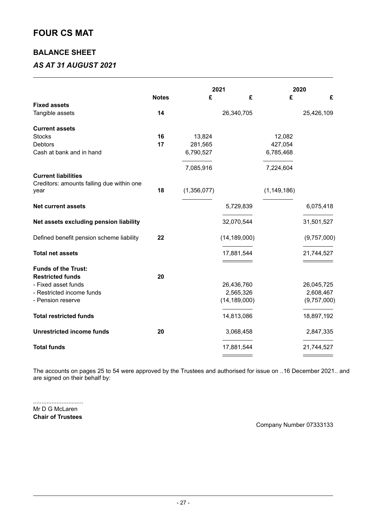### **BALANCE SHEET**

### *AS AT 31 AUGUST 2021*

|                                                   |              |             | 2021           |               | 2020        |  |
|---------------------------------------------------|--------------|-------------|----------------|---------------|-------------|--|
|                                                   | <b>Notes</b> | £           | £              | £             | £           |  |
| <b>Fixed assets</b>                               |              |             |                |               |             |  |
| Tangible assets                                   | 14           |             | 26,340,705     |               | 25,426,109  |  |
| <b>Current assets</b>                             |              |             |                |               |             |  |
| <b>Stocks</b>                                     | 16           | 13,824      |                | 12,082        |             |  |
| <b>Debtors</b>                                    | 17           | 281,565     |                | 427,054       |             |  |
| Cash at bank and in hand                          |              | 6,790,527   |                | 6,785,468     |             |  |
|                                                   |              | 7,085,916   |                | 7,224,604     |             |  |
| <b>Current liabilities</b>                        |              |             |                |               |             |  |
| Creditors: amounts falling due within one<br>year | 18           | (1,356,077) |                | (1, 149, 186) |             |  |
| <b>Net current assets</b>                         |              |             | 5,729,839      |               | 6,075,418   |  |
| Net assets excluding pension liability            |              |             | 32,070,544     |               | 31,501,527  |  |
| Defined benefit pension scheme liability          | 22           |             | (14, 189, 000) |               | (9,757,000) |  |
| <b>Total net assets</b>                           |              |             | 17,881,544     |               | 21,744,527  |  |
|                                                   |              |             |                |               |             |  |
| <b>Funds of the Trust:</b>                        |              |             |                |               |             |  |
| <b>Restricted funds</b>                           | 20           |             |                |               |             |  |
| - Fixed asset funds                               |              |             | 26,436,760     |               | 26,045,725  |  |
| - Restricted income funds                         |              |             | 2,565,326      |               | 2,608,467   |  |
| - Pension reserve                                 |              |             | (14, 189, 000) |               | (9,757,000) |  |
| <b>Total restricted funds</b>                     |              |             | 14,813,086     |               | 18,897,192  |  |
| <b>Unrestricted income funds</b>                  | 20           |             | 3,068,458      |               | 2,847,335   |  |
| <b>Total funds</b>                                |              |             | 17,881,544     |               | 21,744,527  |  |
|                                                   |              |             |                |               |             |  |

The accounts on pages 25 to 54 were approved by the Trustees and authorised for issue on ..16 December 2021.. and are signed on their behalf by:

.............................. Mr D G McLaren **Chair of Trustees**

Company Number 07333133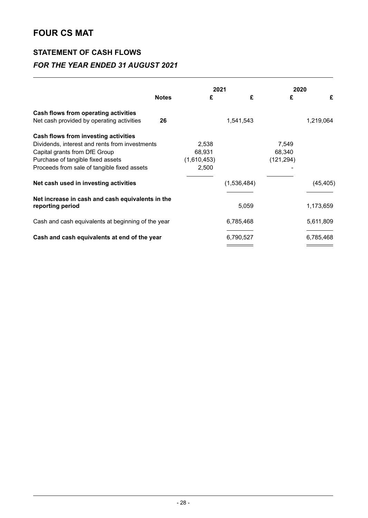### **STATEMENT OF CASH FLOWS**

### *FOR THE YEAR ENDED 31 AUGUST 2021*

|                                                                      |              |             | 2021        |            | 2020      |
|----------------------------------------------------------------------|--------------|-------------|-------------|------------|-----------|
|                                                                      | <b>Notes</b> | £           | £           | £          | £         |
| Cash flows from operating activities                                 |              |             |             |            |           |
| Net cash provided by operating activities                            | 26           |             | 1,541,543   |            | 1,219,064 |
| Cash flows from investing activities                                 |              |             |             |            |           |
| Dividends, interest and rents from investments                       |              | 2,538       |             | 7,549      |           |
| Capital grants from DfE Group                                        |              | 68,931      |             | 68,340     |           |
| Purchase of tangible fixed assets                                    |              | (1,610,453) |             | (121, 294) |           |
| Proceeds from sale of tangible fixed assets                          |              | 2,500       |             |            |           |
| Net cash used in investing activities                                |              |             | (1,536,484) |            | (45, 405) |
| Net increase in cash and cash equivalents in the<br>reporting period |              |             | 5,059       |            | 1,173,659 |
|                                                                      |              |             |             |            |           |
| Cash and cash equivalents at beginning of the year                   |              |             | 6,785,468   |            | 5,611,809 |
| Cash and cash equivalents at end of the year                         |              |             | 6,790,527   |            | 6,785,468 |
|                                                                      |              |             |             |            |           |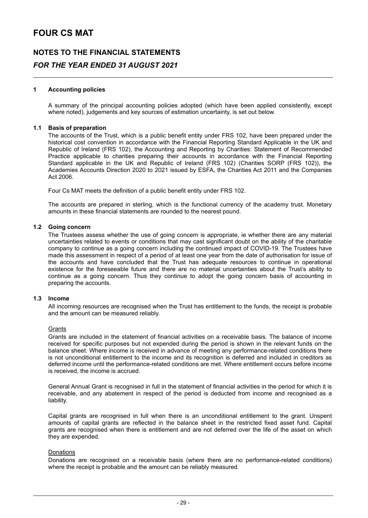### **NOTES TO THE FINANCIAL STATEMENTS** *FOR THE YEAR ENDED 31 AUGUST 2021*

#### **1 Accounting policies**

A summary of the principal accounting policies adopted (which have been applied consistently, except where noted), judgements and key sources of estimation uncertainty, is set out below.

#### **1.1 Basis of preparation**

The accounts of the Trust, which is a public benefit entity under FRS 102, have been prepared under the historical cost convention in accordance with the Financial Reporting Standard Applicable in the UK and Republic of Ireland (FRS 102), the Accounting and Reporting by Charities: Statement of Recommended Practice applicable to charities preparing their accounts in accordance with the Financial Reporting Standard applicable in the UK and Republic of Ireland (FRS 102) (Charities SORP (FRS 102)), the Academies Accounts Direction 2020 to 2021 issued by ESFA, the Charities Act 2011 and the Companies Act 2006.

Four Cs MAT meets the definition of a public benefit entity under FRS 102.

The accounts are prepared in sterling, which is the functional currency of the academy trust. Monetary amounts in these financial statements are rounded to the nearest pound.

#### **1.2 Going concern**

The Trustees assess whether the use of going concern is appropriate, ie whether there are any material uncertainties related to events or conditions that may cast significant doubt on the ability of the charitable company to continue as a going concern including the continued impact of COVID-19. The Trustees have made this assessment in respect of a period of at least one year from the date of authorisation for issue of the accounts and have concluded that the Trust has adequate resources to continue in operational existence for the foreseeable future and there are no material uncertainties about the Trust's ability to continue as a going concern. Thus they continue to adopt the going concern basis of accounting in preparing the accounts.

#### **1.3 Income**

All incoming resources are recognised when the Trust has entitlement to the funds, the receipt is probable and the amount can be measured reliably.

#### **Grants**

Grants are included in the statement of financial activities on a receivable basis. The balance of income received for specific purposes but not expended during the period is shown in the relevant funds on the balance sheet. Where income is received in advance of meeting any performance-related conditions there is not unconditional entitlement to the income and its recognition is deferred and included in creditors as deferred income until the performance-related conditions are met. Where entitlement occurs before income is received, the income is accrued.

General Annual Grant is recognised in full in the statement of financial activities in the period for which it is receivable, and any abatement in respect of the period is deducted from income and recognised as a liability.

Capital grants are recognised in full when there is an unconditional entitlement to the grant. Unspent amounts of capital grants are reflected in the balance sheet in the restricted fixed asset fund. Capital grants are recognised when there is entitlement and are not deferred over the life of the asset on which they are expended.

#### Donations

Donations are recognised on a receivable basis (where there are no performance-related conditions) where the receipt is probable and the amount can be reliably measured.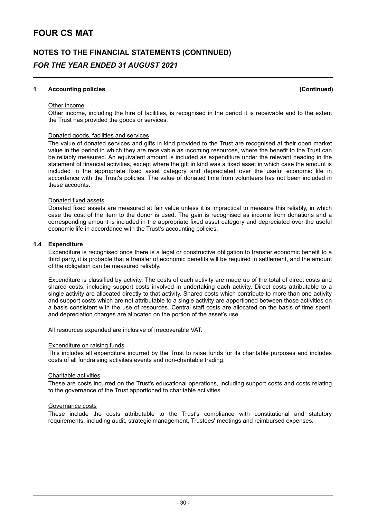## **NOTES TO THE FINANCIAL STATEMENTS (CONTINUED)** *FOR THE YEAR ENDED 31 AUGUST 2021*

#### **1 Accounting policies (Continued)**

#### Other income

Other income, including the hire of facilities, is recognised in the period it is receivable and to the extent the Trust has provided the goods or services.

#### Donated goods, facilities and services

The value of donated services and gifts in kind provided to the Trust are recognised at their open market value in the period in which they are receivable as incoming resources, where the benefit to the Trust can be reliably measured. An equivalent amount is included as expenditure under the relevant heading in the statement of financial activities, except where the gift in kind was a fixed asset in which case the amount is included in the appropriate fixed asset category and depreciated over the useful economic life in accordance with the Trust's policies. The value of donated time from volunteers has not been included in these accounts.

#### Donated fixed assets

Donated fixed assets are measured at fair value unless it is impractical to measure this reliably, in which case the cost of the item to the donor is used. The gain is recognised as income from donations and a corresponding amount is included in the appropriate fixed asset category and depreciated over the useful economic life in accordance with the Trust's accounting policies.

#### **1.4 Expenditure**

Expenditure is recognised once there is a legal or constructive obligation to transfer economic benefit to a third party, it is probable that a transfer of economic benefits will be required in settlement, and the amount of the obligation can be measured reliably.

Expenditure is classified by activity. The costs of each activity are made up of the total of direct costs and shared costs, including support costs involved in undertaking each activity. Direct costs attributable to a single activity are allocated directly to that activity. Shared costs which contribute to more than one activity and support costs which are not attributable to a single activity are apportioned between those activities on a basis consistent with the use of resources. Central staff costs are allocated on the basis of time spent, and depreciation charges are allocated on the portion of the asset's use.

All resources expended are inclusive of irrecoverable VAT.

#### Expenditure on raising funds

This includes all expenditure incurred by the Trust to raise funds for its charitable purposes and includes costs of all fundraising activities events and non-charitable trading.

#### Charitable activities

These are costs incurred on the Trust's educational operations, including support costs and costs relating to the governance of the Trust apportioned to charitable activities.

#### Governance costs

These include the costs attributable to the Trust's compliance with constitutional and statutory requirements, including audit, strategic management, Trustees' meetings and reimbursed expenses.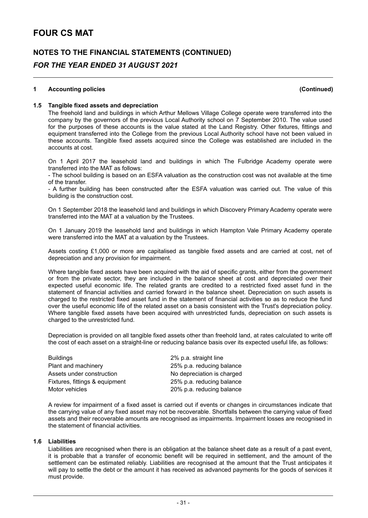### **NOTES TO THE FINANCIAL STATEMENTS (CONTINUED)** *FOR THE YEAR ENDED 31 AUGUST 2021*

#### **1 Accounting policies (Continued)**

#### **1.5 Tangible fixed assets and depreciation**

The freehold land and buildings in which Arthur Mellows Village College operate were transferred into the company by the governors of the previous Local Authority school on 7 September 2010. The value used for the purposes of these accounts is the value stated at the Land Registry. Other fixtures, fittings and equipment transferred into the College from the previous Local Authority school have not been valued in these accounts. Tangible fixed assets acquired since the College was established are included in the accounts at cost.

On 1 April 2017 the leasehold land and buildings in which The Fulbridge Academy operate were transferred into the MAT as follows:

- The school building is based on an ESFA valuation as the construction cost was not available at the time of the transfer.

- A further building has been constructed after the ESFA valuation was carried out. The value of this building is the construction cost.

On 1 September 2018 the leasehold land and buildings in which Discovery Primary Academy operate were transferred into the MAT at a valuation by the Trustees.

On 1 January 2019 the leasehold land and buildings in which Hampton Vale Primary Academy operate were transferred into the MAT at a valuation by the Trustees.

Assets costing £1,000 or more are capitalised as tangible fixed assets and are carried at cost, net of depreciation and any provision for impairment.

Where tangible fixed assets have been acquired with the aid of specific grants, either from the government or from the private sector, they are included in the balance sheet at cost and depreciated over their expected useful economic life. The related grants are credited to a restricted fixed asset fund in the statement of financial activities and carried forward in the balance sheet. Depreciation on such assets is charged to the restricted fixed asset fund in the statement of financial activities so as to reduce the fund over the useful economic life of the related asset on a basis consistent with the Trust's depreciation policy. Where tangible fixed assets have been acquired with unrestricted funds, depreciation on such assets is charged to the unrestricted fund.

Depreciation is provided on all tangible fixed assets other than freehold land, at rates calculated to write off the cost of each asset on a straight-line or reducing balance basis over its expected useful life, as follows:

| <b>Buildings</b>               | 2% p.a. straight line      |
|--------------------------------|----------------------------|
| Plant and machinery            | 25% p.a. reducing balance  |
| Assets under construction      | No depreciation is charged |
| Fixtures, fittings & equipment | 25% p.a. reducing balance  |
| Motor vehicles                 | 20% p.a. reducing balance  |

A review for impairment of a fixed asset is carried out if events or changes in circumstances indicate that the carrying value of any fixed asset may not be recoverable. Shortfalls between the carrying value of fixed assets and their recoverable amounts are recognised as impairments. Impairment losses are recognised in the statement of financial activities.

#### **1.6 Liabilities**

Liabilities are recognised when there is an obligation at the balance sheet date as a result of a past event, it is probable that a transfer of economic benefit will be required in settlement, and the amount of the settlement can be estimated reliably. Liabilities are recognised at the amount that the Trust anticipates it will pay to settle the debt or the amount it has received as advanced payments for the goods of services it must provide.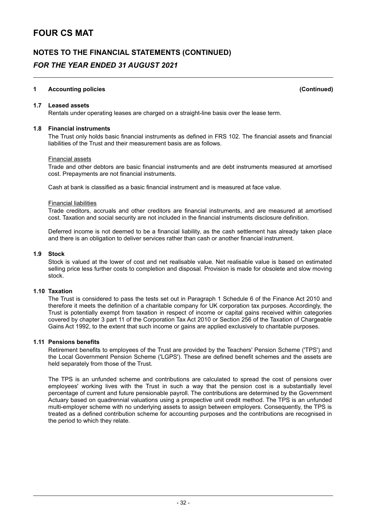### **NOTES TO THE FINANCIAL STATEMENTS (CONTINUED)** *FOR THE YEAR ENDED 31 AUGUST 2021*

#### **1 Accounting policies (Continued)**

**1.7 Leased assets**

Rentals under operating leases are charged on a straight-line basis over the lease term.

#### **1.8 Financial instruments**

The Trust only holds basic financial instruments as defined in FRS 102. The financial assets and financial liabilities of the Trust and their measurement basis are as follows.

#### Financial assets

Trade and other debtors are basic financial instruments and are debt instruments measured at amortised cost. Prepayments are not financial instruments.

Cash at bank is classified as a basic financial instrument and is measured at face value.

#### Financial liabilities

Trade creditors, accruals and other creditors are financial instruments, and are measured at amortised cost. Taxation and social security are not included in the financial instruments disclosure definition.

Deferred income is not deemed to be a financial liability, as the cash settlement has already taken place and there is an obligation to deliver services rather than cash or another financial instrument.

#### **1.9 Stock**

Stock is valued at the lower of cost and net realisable value. Net realisable value is based on estimated selling price less further costs to completion and disposal. Provision is made for obsolete and slow moving stock.

#### **1.10 Taxation**

The Trust is considered to pass the tests set out in Paragraph 1 Schedule 6 of the Finance Act 2010 and therefore it meets the definition of a charitable company for UK corporation tax purposes. Accordingly, the Trust is potentially exempt from taxation in respect of income or capital gains received within categories covered by chapter 3 part 11 of the Corporation Tax Act 2010 or Section 256 of the Taxation of Chargeable Gains Act 1992, to the extent that such income or gains are applied exclusively to charitable purposes.

#### **1.11 Pensions benefits**

Retirement benefits to employees of the Trust are provided by the Teachers' Pension Scheme ('TPS') and the Local Government Pension Scheme ('LGPS'). These are defined benefit schemes and the assets are held separately from those of the Trust.

The TPS is an unfunded scheme and contributions are calculated to spread the cost of pensions over employees' working lives with the Trust in such a way that the pension cost is a substantially level percentage of current and future pensionable payroll. The contributions are determined by the Government Actuary based on quadrennial valuations using a prospective unit credit method. The TPS is an unfunded multi-employer scheme with no underlying assets to assign between employers. Consequently, the TPS is treated as a defined contribution scheme for accounting purposes and the contributions are recognised in the period to which they relate.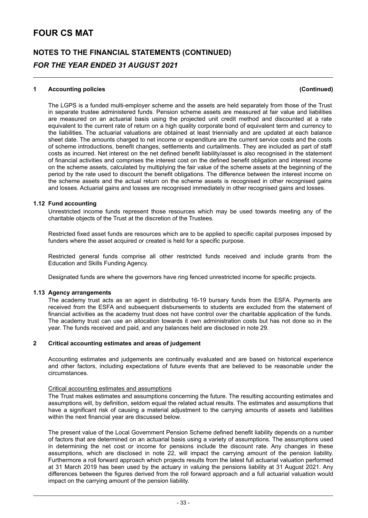# **NOTES TO THE FINANCIAL STATEMENTS (CONTINUED)** *FOR THE YEAR ENDED 31 AUGUST 2021*

#### **1 Accounting policies (Continued)**

The LGPS is a funded multi-employer scheme and the assets are held separately from those of the Trust in separate trustee administered funds. Pension scheme assets are measured at fair value and liabilities are measured on an actuarial basis using the projected unit credit method and discounted at a rate equivalent to the current rate of return on a high quality corporate bond of equivalent term and currency to the liabilities. The actuarial valuations are obtained at least triennially and are updated at each balance sheet date. The amounts charged to net income or expenditure are the current service costs and the costs of scheme introductions, benefit changes, settlements and curtailments. They are included as part of staff costs as incurred. Net interest on the net defined benefit liability/asset is also recognised in the statement of financial activities and comprises the interest cost on the defined benefit obligation and interest income on the scheme assets, calculated by multiplying the fair value of the scheme assets at the beginning of the period by the rate used to discount the benefit obligations. The difference between the interest income on the scheme assets and the actual return on the scheme assets is recognised in other recognised gains and losses. Actuarial gains and losses are recognised immediately in other recognised gains and losses.

#### **1.12 Fund accounting**

Unrestricted income funds represent those resources which may be used towards meeting any of the charitable objects of the Trust at the discretion of the Trustees.

Restricted fixed asset funds are resources which are to be applied to specific capital purposes imposed by funders where the asset acquired or created is held for a specific purpose.

Restricted general funds comprise all other restricted funds received and include grants from the Education and Skills Funding Agency.

Designated funds are where the governors have ring fenced unrestricted income for specific projects.

#### **1.13 Agency arrangements**

The academy trust acts as an agent in distributing 16-19 bursary funds from the ESFA. Payments are received from the ESFA and subsequent disbursements to students are excluded from the statement of financial activities as the academy trust does not have control over the charitable application of the funds. The academy trust can use an allocation towards it own administration costs but has not done so in the year. The funds received and paid, and any balances held are disclosed in note 29.

#### **2 Critical accounting estimates and areas of judgement**

Accounting estimates and judgements are continually evaluated and are based on historical experience and other factors, including expectations of future events that are believed to be reasonable under the circumstances.

#### Critical accounting estimates and assumptions

The Trust makes estimates and assumptions concerning the future. The resulting accounting estimates and assumptions will, by definition, seldom equal the related actual results. The estimates and assumptions that have a significant risk of causing a material adjustment to the carrying amounts of assets and liabilities within the next financial year are discussed below.

The present value of the Local Government Pension Scheme defined benefit liability depends on a number of factors that are determined on an actuarial basis using a variety of assumptions. The assumptions used in determining the net cost or income for pensions include the discount rate. Any changes in these assumptions, which are disclosed in note 22, will impact the carrying amount of the pension liability. Furthermore a roll forward approach which projects results from the latest full actuarial valuation performed at 31 March 2019 has been used by the actuary in valuing the pensions liability at 31 August 2021. Any differences between the figures derived from the roll forward approach and a full actuarial valuation would impact on the carrying amount of the pension liability.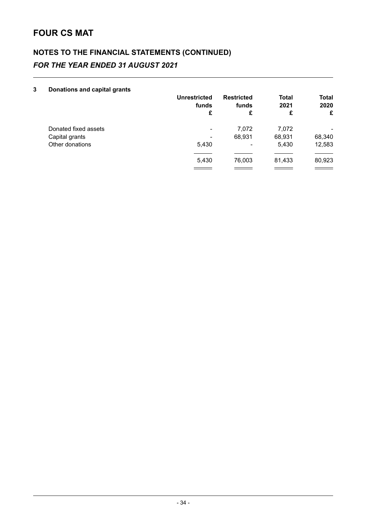# **NOTES TO THE FINANCIAL STATEMENTS (CONTINUED)** *FOR THE YEAR ENDED 31 AUGUST 2021*

#### **3 Donations and capital grants**

|                      | <b>Unrestricted</b><br>funds<br>£ | <b>Restricted</b><br>funds<br>£ | <b>Total</b><br>2021<br>£ | <b>Total</b><br>2020<br>£ |
|----------------------|-----------------------------------|---------------------------------|---------------------------|---------------------------|
| Donated fixed assets | ۰                                 | 7.072                           | 7,072                     | ۰                         |
| Capital grants       | ۰                                 | 68.931                          | 68,931                    | 68,340                    |
| Other donations      | 5,430                             | ۰                               | 5,430                     | 12,583                    |
|                      |                                   |                                 |                           |                           |
|                      | 5,430                             | 76,003                          | 81,433                    | 80,923                    |
|                      |                                   |                                 |                           |                           |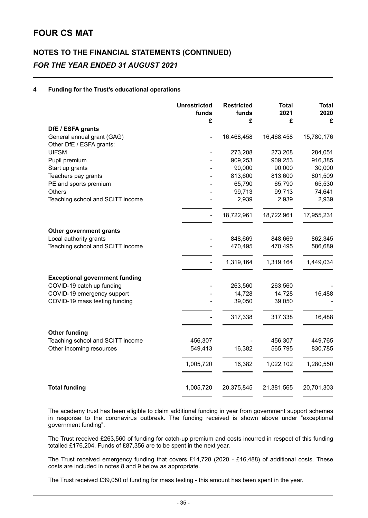# **NOTES TO THE FINANCIAL STATEMENTS (CONTINUED)** *FOR THE YEAR ENDED 31 AUGUST 2021*

#### **4 Funding for the Trust's educational operations**

|                                                        | <b>Unrestricted</b><br>funds<br>£ | <b>Restricted</b><br>funds<br>£ | <b>Total</b><br>2021<br>£ | <b>Total</b><br>2020<br>£ |
|--------------------------------------------------------|-----------------------------------|---------------------------------|---------------------------|---------------------------|
| DfE / ESFA grants                                      |                                   |                                 |                           |                           |
| General annual grant (GAG)<br>Other DfE / ESFA grants: |                                   | 16,468,458                      | 16,468,458                | 15,780,176                |
| <b>UIFSM</b>                                           |                                   | 273,208                         | 273,208                   | 284,051                   |
| Pupil premium                                          |                                   | 909,253                         | 909,253                   | 916,385                   |
| Start up grants                                        |                                   | 90,000                          | 90,000                    | 30,000                    |
| Teachers pay grants                                    |                                   | 813,600                         | 813,600                   | 801,509                   |
| PE and sports premium                                  |                                   | 65,790                          | 65,790                    | 65,530                    |
| <b>Others</b>                                          |                                   | 99,713                          | 99,713                    | 74,641                    |
| Teaching school and SCITT income                       |                                   | 2,939                           | 2,939                     | 2,939                     |
|                                                        |                                   | 18,722,961                      | 18,722,961                | 17,955,231                |
| Other government grants                                |                                   |                                 |                           |                           |
| Local authority grants                                 |                                   | 848,669                         | 848,669                   | 862,345                   |
| Teaching school and SCITT income                       |                                   | 470,495                         | 470,495                   | 586,689                   |
|                                                        |                                   | 1,319,164                       | 1,319,164                 | 1,449,034                 |
| <b>Exceptional government funding</b>                  |                                   |                                 |                           |                           |
| COVID-19 catch up funding                              |                                   | 263,560                         | 263,560                   |                           |
| COVID-19 emergency support                             |                                   | 14,728                          | 14,728                    | 16,488                    |
| COVID-19 mass testing funding                          |                                   | 39,050                          | 39,050                    |                           |
|                                                        |                                   | 317,338                         | 317,338                   | 16,488                    |
| <b>Other funding</b>                                   |                                   |                                 |                           |                           |
| Teaching school and SCITT income                       | 456,307                           |                                 | 456,307                   | 449,765                   |
| Other incoming resources                               | 549,413                           | 16,382                          | 565,795                   | 830,785                   |
|                                                        | 1,005,720                         | 16,382                          | 1,022,102                 | 1,280,550                 |
| <b>Total funding</b>                                   | 1,005,720                         | 20,375,845                      | 21,381,565                | 20,701,303                |

The academy trust has been eligible to claim additional funding in year from government support schemes in response to the coronavirus outbreak. The funding received is shown above under "exceptional government funding".

The Trust received £263,560 of funding for catch-up premium and costs incurred in respect of this funding totalled £176,204. Funds of £87,356 are to be spent in the next year.

The Trust received emergency funding that covers £14,728 (2020 - £16,488) of additional costs. These costs are included in notes 8 and 9 below as appropriate.

The Trust received £39,050 of funding for mass testing - this amount has been spent in the year.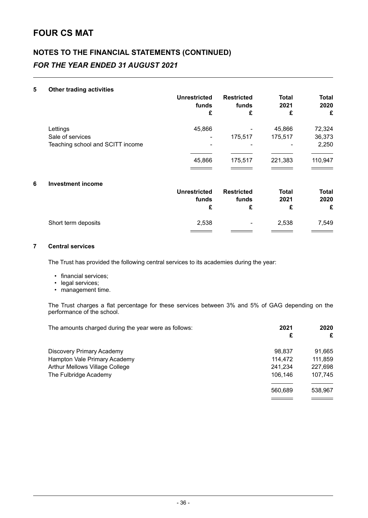# **NOTES TO THE FINANCIAL STATEMENTS (CONTINUED)** *FOR THE YEAR ENDED 31 AUGUST 2021*

#### **5 Other trading activities**

|                                  | <b>Unrestricted</b><br>funds<br>£ | <b>Restricted</b><br>funds<br>£ | <b>Total</b><br>2021<br>£ | <b>Total</b><br>2020<br>£ |
|----------------------------------|-----------------------------------|---------------------------------|---------------------------|---------------------------|
| Lettings                         | 45,866                            |                                 | 45,866                    | 72,324                    |
| Sale of services                 |                                   | 175,517                         | 175,517                   | 36,373                    |
| Teaching school and SCITT income |                                   |                                 |                           | 2,250                     |
|                                  | 45,866                            | 175,517                         | 221,383                   | 110,947                   |
|                                  |                                   |                                 |                           |                           |
| <b>Investment income</b>         |                                   |                                 |                           |                           |
|                                  | <b>Unrestricted</b>               | <b>Restricted</b>               | <b>Total</b>              | <b>Total</b>              |
|                                  | funds                             | funds                           | 2021                      | 2020                      |
|                                  | £                                 | £                               | £                         | £                         |
| Short term deposits              | 2,538                             |                                 | 2,538                     | 7,549                     |
|                                  |                                   |                                 |                           |                           |

#### **7 Central services**

The Trust has provided the following central services to its academies during the year:

- financial services;
- legal services;
- management time.

The Trust charges a flat percentage for these services between 3% and 5% of GAG depending on the performance of the school.

| The amounts charged during the year were as follows: | 2021    | 2020    |
|------------------------------------------------------|---------|---------|
|                                                      | £       | £       |
| <b>Discovery Primary Academy</b>                     | 98.837  | 91,665  |
| Hampton Vale Primary Academy                         | 114.472 | 111,859 |
| Arthur Mellows Village College                       | 241,234 | 227,698 |
| The Fulbridge Academy                                | 106.146 | 107,745 |
|                                                      |         |         |
|                                                      | 560,689 | 538,967 |
|                                                      |         |         |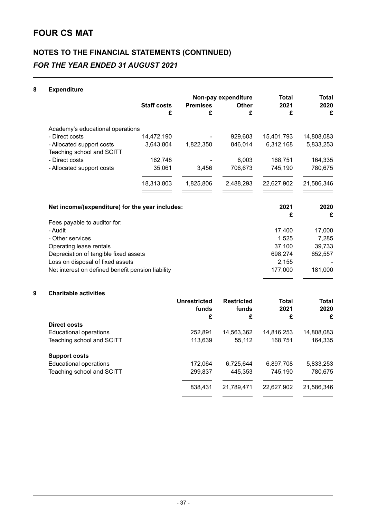# **NOTES TO THE FINANCIAL STATEMENTS (CONTINUED)** *FOR THE YEAR ENDED 31 AUGUST 2021*

### **8 Expenditure**

|                                                        |                    |                 | Non-pay expenditure | Total      | Total      |
|--------------------------------------------------------|--------------------|-----------------|---------------------|------------|------------|
|                                                        | <b>Staff costs</b> | <b>Premises</b> | <b>Other</b>        | 2021       | 2020       |
|                                                        | £                  | £               | £                   | £          | £          |
| Academy's educational operations                       |                    |                 |                     |            |            |
| - Direct costs                                         | 14,472,190         |                 | 929,603             | 15,401,793 | 14,808,083 |
| - Allocated support costs<br>Teaching school and SCITT | 3,643,804          | 1,822,350       | 846,014             | 6,312,168  | 5,833,253  |
| - Direct costs                                         | 162,748            |                 | 6,003               | 168,751    | 164,335    |
| - Allocated support costs                              | 35,061             | 3,456           | 706,673             | 745,190    | 780,675    |
|                                                        | 18,313,803         | 1,825,806       | 2,488,293           | 22,627,902 | 21,586,346 |
| Net income/(expenditure) for the year includes:        |                    |                 |                     | 2021       | 2020       |
|                                                        |                    |                 |                     | £          | £          |
| Fees payable to auditor for:                           |                    |                 |                     |            |            |
| - Audit                                                |                    |                 |                     | 17,400     | 17,000     |
| - Other services                                       |                    |                 |                     | 1,525      | 7,285      |
| Operating lease rentals                                |                    |                 |                     | 37,100     | 39,733     |
| Depreciation of tangible fixed assets                  |                    |                 |                     | 698,274    | 652,557    |
| Loss on disposal of fixed assets                       |                    |                 |                     | 2,155      |            |
| Net interest on defined benefit pension liability      |                    |                 |                     | 177,000    | 181,000    |
|                                                        |                    |                 |                     |            |            |

#### **9 Charitable activities**

|                               | Unrestricted<br>funds | <b>Restricted</b><br>funds | <b>Total</b><br>2021 | <b>Total</b><br>2020 |
|-------------------------------|-----------------------|----------------------------|----------------------|----------------------|
|                               | £                     | £                          | £                    | £                    |
| Direct costs                  |                       |                            |                      |                      |
| <b>Educational operations</b> | 252,891               | 14,563,362                 | 14,816,253           | 14,808,083           |
| Teaching school and SCITT     | 113,639               | 55.112                     | 168.751              | 164,335              |
| <b>Support costs</b>          |                       |                            |                      |                      |
| <b>Educational operations</b> | 172,064               | 6,725,644                  | 6,897,708            | 5,833,253            |
| Teaching school and SCITT     | 299,837               | 445,353                    | 745.190              | 780,675              |
|                               | 838,431               | 21,789,471                 | 22,627,902           | 21,586,346           |
|                               |                       |                            |                      |                      |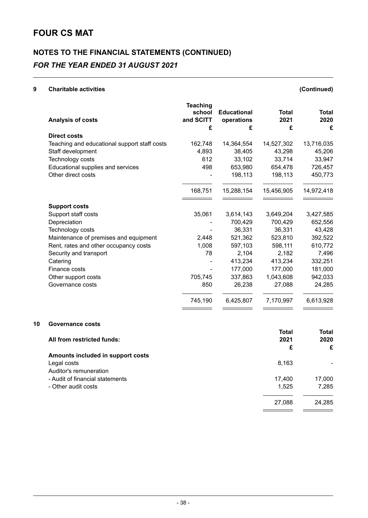# **NOTES TO THE FINANCIAL STATEMENTS (CONTINUED)** *FOR THE YEAR ENDED 31 AUGUST 2021*

#### **9 Charitable activities (Continued)**

| Analysis of costs                            | <b>Teaching</b><br>school<br>and SCITT<br>£ | <b>Educational</b><br>operations<br>£ | <b>Total</b><br>2021<br>£ | <b>Total</b><br>2020<br>£ |
|----------------------------------------------|---------------------------------------------|---------------------------------------|---------------------------|---------------------------|
| Direct costs                                 |                                             |                                       |                           |                           |
| Teaching and educational support staff costs | 162,748                                     | 14,364,554                            | 14,527,302                | 13,716,035                |
| Staff development                            | 4,893                                       | 38,405                                | 43,298                    | 45,206                    |
| Technology costs                             | 612                                         | 33,102                                | 33,714                    | 33,947                    |
| Educational supplies and services            | 498                                         | 653,980                               | 654,478                   | 726,457                   |
| Other direct costs                           |                                             | 198,113                               | 198,113                   | 450,773                   |
|                                              | 168,751                                     | 15,288,154                            | 15,456,905                | 14,972,418                |
| <b>Support costs</b>                         |                                             |                                       |                           |                           |
| Support staff costs                          | 35,061                                      | 3,614,143                             | 3,649,204                 | 3,427,585                 |
| Depreciation                                 |                                             | 700,429                               | 700,429                   | 652,556                   |
| Technology costs                             |                                             | 36,331                                | 36,331                    | 43,428                    |
| Maintenance of premises and equipment        | 2,448                                       | 521,362                               | 523,810                   | 392,522                   |
| Rent, rates and other occupancy costs        | 1,008                                       | 597,103                               | 598,111                   | 610,772                   |
| Security and transport                       | 78                                          | 2,104                                 | 2,182                     | 7,496                     |
| Catering                                     |                                             | 413,234                               | 413,234                   | 332,251                   |
| Finance costs                                |                                             | 177,000                               | 177,000                   | 181,000                   |
| Other support costs                          | 705,745                                     | 337,863                               | 1,043,608                 | 942,033                   |
| Governance costs                             | 850                                         | 26,238                                | 27,088                    | 24,285                    |
|                                              | 745,190                                     | 6,425,807                             | 7,170,997                 | 6,613,928                 |

#### **10 Governance costs**

|                                   | <b>Total</b> | <b>Total</b> |
|-----------------------------------|--------------|--------------|
| All from restricted funds:        | 2021         | 2020         |
|                                   | £            | £            |
| Amounts included in support costs |              |              |
| Legal costs                       | 8,163        |              |
| Auditor's remuneration            |              |              |
| - Audit of financial statements   | 17,400       | 17,000       |
| - Other audit costs               | 1,525        | 7,285        |
|                                   | 27,088       | 24,285       |
|                                   |              |              |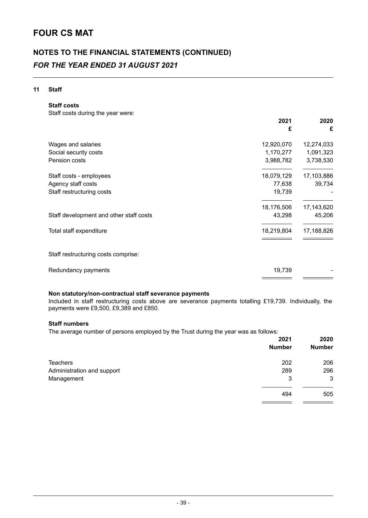# **NOTES TO THE FINANCIAL STATEMENTS (CONTINUED)** *FOR THE YEAR ENDED 31 AUGUST 2021*

#### **11 Staff**

**Staff costs**

Staff costs during the year were:

|                                         | 2021<br>£  | 2020<br>£  |
|-----------------------------------------|------------|------------|
| Wages and salaries                      | 12,920,070 | 12,274,033 |
| Social security costs                   | 1,170,277  | 1,091,323  |
| Pension costs                           | 3,988,782  | 3,738,530  |
| Staff costs - employees                 | 18,079,129 | 17,103,886 |
| Agency staff costs                      | 77,638     | 39,734     |
| Staff restructuring costs               | 19,739     |            |
|                                         | 18,176,506 | 17,143,620 |
| Staff development and other staff costs | 43,298     | 45,206     |
| Total staff expenditure                 | 18,219,804 | 17,188,826 |
| Staff restructuring costs comprise:     |            |            |
| Redundancy payments                     | 19,739     |            |

#### **Non statutory/non-contractual staff severance payments**

Included in staff restructuring costs above are severance payments totalling £19,739. Individually, the payments were £9,500, £9,389 and £850.

#### **Staff numbers**

The average number of persons employed by the Trust during the year was as follows:

|                            | 2021<br><b>Number</b> | 2020<br><b>Number</b> |
|----------------------------|-----------------------|-----------------------|
| <b>Teachers</b>            | 202                   | 206                   |
| Administration and support | 289                   | 296                   |
| Management                 | 3                     | 3                     |
|                            | 494                   | 505                   |
|                            |                       |                       |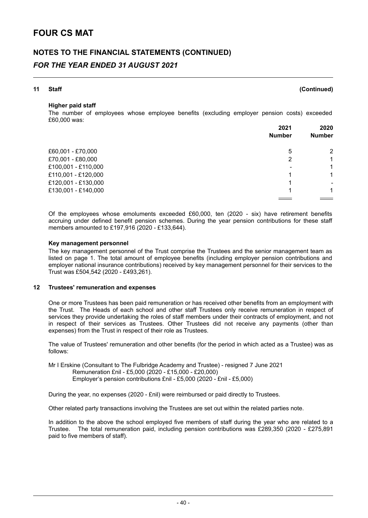### **NOTES TO THE FINANCIAL STATEMENTS (CONTINUED)** *FOR THE YEAR ENDED 31 AUGUST 2021*

### **11 Staff (Continued)**

#### **Higher paid staff**

The number of employees whose employee benefits (excluding employer pension costs) exceeded £60,000 was:

|                     | 2021          | 2020<br><b>Number</b> |
|---------------------|---------------|-----------------------|
|                     | <b>Number</b> |                       |
| £60,001 - £70,000   | 5             | 2                     |
| £70,001 - £80,000   | 2             | 1                     |
| £100,001 - £110,000 | ۰             | 1                     |
| £110,001 - £120,000 |               | 1                     |
| £120,001 - £130,000 |               | ۰                     |
| £130,001 - £140,000 |               | 1                     |
|                     |               |                       |

Of the employees whose emoluments exceeded £60,000, ten (2020 - six) have retirement benefits accruing under defined benefit pension schemes. During the year pension contributions for these staff members amounted to £197,916 (2020 - £133,644).

#### **Key management personnel**

The key management personnel of the Trust comprise the Trustees and the senior management team as listed on page 1. The total amount of employee benefits (including employer pension contributions and employer national insurance contributions) received by key management personnel for their services to the Trust was £504,542 (2020 - £493,261).

#### **12 Trustees' remuneration and expenses**

One or more Trustees has been paid remuneration or has received other benefits from an employment with the Trust. The Heads of each school and other staff Trustees only receive remuneration in respect of services they provide undertaking the roles of staff members under their contracts of employment, and not in respect of their services as Trustees. Other Trustees did not receive any payments (other than expenses) from the Trust in respect of their role as Trustees.

The value of Trustees' remuneration and other benefits (for the period in which acted as a Trustee) was as follows:

Mr I Erskine (Consultant to The Fulbridge Academy and Trustee) - resigned 7 June 2021 Remuneration £nil - £5,000 (2020 - £15,000 - £20,000) Employer's pension contributions £nil - £5,000 (2020 - £nil - £5,000)

During the year, no expenses (2020 - £nil) were reimbursed or paid directly to Trustees.

Other related party transactions involving the Trustees are set out within the related parties note.

In addition to the above the school employed five members of staff during the year who are related to a Trustee. The total remuneration paid, including pension contributions was £289,350 (2020 - £275,891 paid to five members of staff).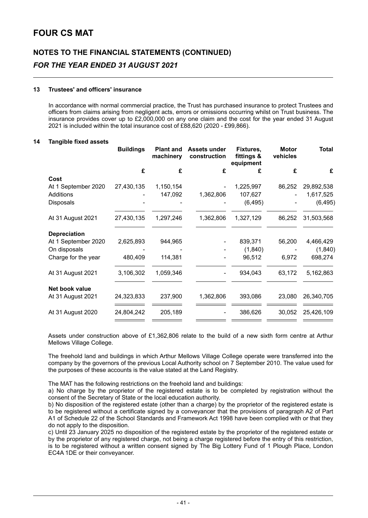# **NOTES TO THE FINANCIAL STATEMENTS (CONTINUED)** *FOR THE YEAR ENDED 31 AUGUST 2021*

#### **13 Trustees' and officers' insurance**

In accordance with normal commercial practice, the Trust has purchased insurance to protect Trustees and officers from claims arising from negligent acts, errors or omissions occurring whilst on Trust business. The insurance provides cover up to £2,000,000 on any one claim and the cost for the year ended 31 August 2021 is included within the total insurance cost of £88,620 (2020 - £99,866).

#### **14 Tangible fixed assets**

| <b>Buildings</b> | <b>Plant and</b><br>machinery | <b>Assets under</b><br>construction | Fixtures,<br>fittings &<br>equipment | <b>Motor</b><br>vehicles | <b>Total</b> |
|------------------|-------------------------------|-------------------------------------|--------------------------------------|--------------------------|--------------|
| £                | £                             | £                                   | £                                    | £                        | £            |
|                  |                               |                                     |                                      |                          |              |
| 27,430,135       | 1,150,154                     |                                     | 1,225,997                            | 86,252                   | 29,892,538   |
|                  | 147,092                       | 1,362,806                           | 107,627                              |                          | 1,617,525    |
|                  |                               |                                     | (6, 495)                             |                          | (6, 495)     |
| 27,430,135       | 1,297,246                     | 1,362,806                           | 1,327,129                            | 86,252                   | 31,503,568   |
|                  |                               |                                     |                                      |                          |              |
| 2,625,893        | 944,965                       |                                     | 839,371                              | 56,200                   | 4,466,429    |
|                  |                               |                                     | (1,840)                              |                          | (1,840)      |
| 480,409          | 114,381                       |                                     | 96,512                               | 6,972                    | 698,274      |
| 3,106,302        | 1,059,346                     |                                     | 934,043                              | 63,172                   | 5,162,863    |
|                  |                               |                                     |                                      |                          |              |
| 24,323,833       | 237,900                       | 1,362,806                           | 393,086                              | 23,080                   | 26,340,705   |
| 24,804,242       | 205,189                       |                                     | 386,626                              | 30,052                   | 25,426,109   |
|                  |                               |                                     |                                      |                          |              |

Assets under construction above of £1,362,806 relate to the build of a new sixth form centre at Arthur Mellows Village College.

The freehold land and buildings in which Arthur Mellows Village College operate were transferred into the company by the governors of the previous Local Authority school on 7 September 2010. The value used for the purposes of these accounts is the value stated at the Land Registry.

The MAT has the following restrictions on the freehold land and buildings:

a) No charge by the proprietor of the registered estate is to be completed by registration without the consent of the Secretary of State or the local education authority.

b) No disposition of the registered estate (other than a charge) by the proprietor of the registered estate is to be registered without a certificate signed by a conveyancer that the provisions of paragraph A2 of Part A1 of Schedule 22 of the School Standards and Framework Act 1998 have been complied with or that they do not apply to the disposition.

c) Until 23 January 2025 no disposition of the registered estate by the proprietor of the registered estate or by the proprietor of any registered charge, not being a charge registered before the entry of this restriction, is to be registered without a written consent signed by The Big Lottery Fund of 1 Plough Place, London EC4A 1DE or their conveyancer.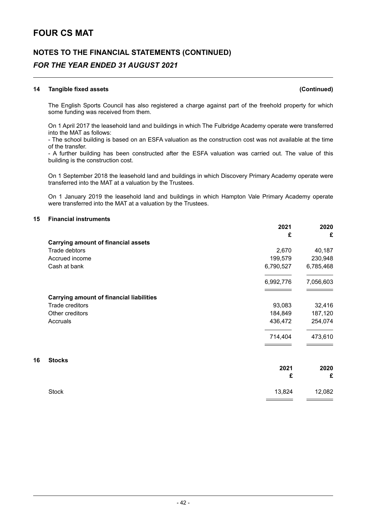### **NOTES TO THE FINANCIAL STATEMENTS (CONTINUED)** *FOR THE YEAR ENDED 31 AUGUST 2021*

#### **14 Tangible fixed assets (Continued)**

The English Sports Council has also registered a charge against part of the freehold property for which some funding was received from them.

On 1 April 2017 the leasehold land and buildings in which The Fulbridge Academy operate were transferred into the MAT as follows:

- The school building is based on an ESFA valuation as the construction cost was not available at the time of the transfer.

- A further building has been constructed after the ESFA valuation was carried out. The value of this building is the construction cost.

On 1 September 2018 the leasehold land and buildings in which Discovery Primary Academy operate were transferred into the MAT at a valuation by the Trustees.

On 1 January 2019 the leasehold land and buildings in which Hampton Vale Primary Academy operate were transferred into the MAT at a valuation by the Trustees.

#### **15 Financial instruments**

|    |                                                 | 2021      | 2020      |
|----|-------------------------------------------------|-----------|-----------|
|    |                                                 | £         | £         |
|    | <b>Carrying amount of financial assets</b>      |           |           |
|    | Trade debtors                                   | 2,670     | 40,187    |
|    | Accrued income                                  | 199,579   | 230,948   |
|    | Cash at bank                                    | 6,790,527 | 6,785,468 |
|    |                                                 | 6,992,776 | 7,056,603 |
|    | <b>Carrying amount of financial liabilities</b> |           |           |
|    | Trade creditors                                 | 93,083    | 32,416    |
|    | Other creditors                                 | 184,849   | 187,120   |
|    | Accruals                                        | 436,472   | 254,074   |
|    |                                                 | 714,404   | 473,610   |
| 16 | <b>Stocks</b>                                   |           |           |
|    |                                                 | 2021      | 2020      |
|    |                                                 | £         | £         |
|    | <b>Stock</b>                                    | 13,824    | 12,082    |
|    |                                                 |           |           |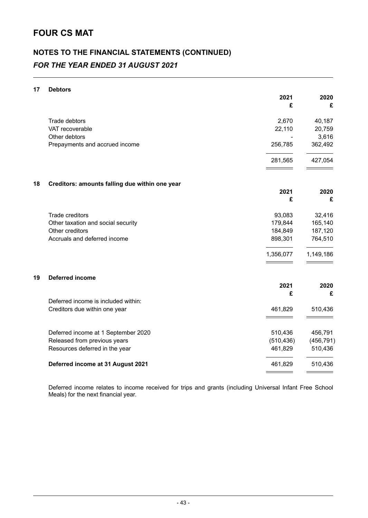# **NOTES TO THE FINANCIAL STATEMENTS (CONTINUED)** *FOR THE YEAR ENDED 31 AUGUST 2021*

#### **17 Debtors**

|    |                                                | 2021<br>£  | 2020<br>£  |
|----|------------------------------------------------|------------|------------|
|    | Trade debtors                                  | 2,670      | 40,187     |
|    | VAT recoverable                                | 22,110     | 20,759     |
|    | Other debtors                                  |            | 3,616      |
|    | Prepayments and accrued income                 | 256,785    | 362,492    |
|    |                                                | 281,565    | 427,054    |
| 18 | Creditors: amounts falling due within one year |            |            |
|    |                                                | 2021       | 2020       |
|    |                                                | £          | £          |
|    | Trade creditors                                | 93,083     | 32,416     |
|    | Other taxation and social security             | 179,844    | 165,140    |
|    | Other creditors                                | 184,849    | 187,120    |
|    | Accruals and deferred income                   | 898,301    | 764,510    |
|    |                                                | 1,356,077  | 1,149,186  |
| 19 | <b>Deferred income</b>                         |            |            |
|    |                                                | 2021       | 2020       |
|    |                                                | £          | £          |
|    | Deferred income is included within:            |            |            |
|    | Creditors due within one year                  | 461,829    | 510,436    |
|    | Deferred income at 1 September 2020            | 510,436    | 456,791    |
|    | Released from previous years                   | (510, 436) | (456, 791) |
|    | Resources deferred in the year                 | 461,829    | 510,436    |
|    | Deferred income at 31 August 2021              | 461,829    | 510,436    |
|    |                                                |            |            |

Deferred income relates to income received for trips and grants (including Universal Infant Free School Meals) for the next financial year.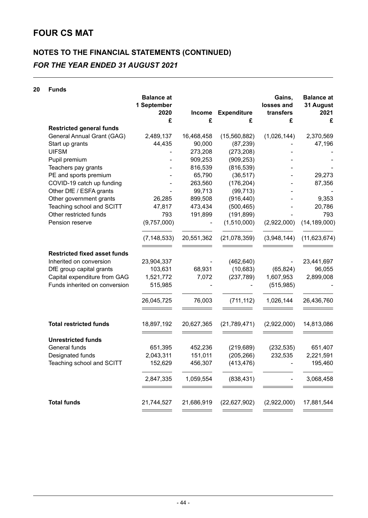# **NOTES TO THE FINANCIAL STATEMENTS (CONTINUED)** *FOR THE YEAR ENDED 31 AUGUST 2021*

#### **20 Funds**

|                                     | <b>Balance</b> at<br>1 September<br>2020 | <b>Income</b> | <b>Expenditure</b> | Gains,<br>losses and<br>transfers | <b>Balance at</b><br>31 August<br>2021 |
|-------------------------------------|------------------------------------------|---------------|--------------------|-----------------------------------|----------------------------------------|
|                                     | £                                        | £             | £                  | £                                 | £                                      |
| <b>Restricted general funds</b>     |                                          |               |                    |                                   |                                        |
| General Annual Grant (GAG)          | 2,489,137                                | 16,468,458    | (15,560,882)       | (1,026,144)                       | 2,370,569                              |
| Start up grants                     | 44,435                                   | 90,000        | (87, 239)          |                                   | 47,196                                 |
| <b>UIFSM</b>                        |                                          | 273,208       | (273, 208)         |                                   |                                        |
| Pupil premium                       |                                          | 909,253       | (909, 253)         |                                   |                                        |
| Teachers pay grants                 |                                          | 816,539       | (816, 539)         |                                   |                                        |
| PE and sports premium               |                                          | 65,790        | (36, 517)          |                                   | 29,273                                 |
| COVID-19 catch up funding           |                                          | 263,560       | (176, 204)         |                                   | 87,356                                 |
| Other DfE / ESFA grants             |                                          | 99,713        | (99, 713)          |                                   |                                        |
| Other government grants             | 26,285                                   | 899,508       | (916, 440)         |                                   | 9,353                                  |
| Teaching school and SCITT           | 47,817                                   | 473,434       | (500, 465)         |                                   | 20,786                                 |
| Other restricted funds              | 793                                      | 191,899       | (191, 899)         |                                   | 793                                    |
| Pension reserve                     | (9,757,000)                              |               | (1,510,000)        | (2,922,000)                       | (14, 189, 000)                         |
|                                     | (7, 148, 533)                            | 20,551,362    | (21,078,359)       | (3,948,144)                       | (11, 623, 674)                         |
| <b>Restricted fixed asset funds</b> |                                          |               |                    |                                   |                                        |
| Inherited on conversion             | 23,904,337                               |               | (462, 640)         |                                   | 23,441,697                             |
| DfE group capital grants            | 103,631                                  | 68,931        | (10, 683)          | (65, 824)                         | 96,055                                 |
| Capital expenditure from GAG        | 1,521,772                                | 7,072         | (237, 789)         | 1,607,953                         | 2,899,008                              |
| Funds inherited on conversion       | 515,985                                  |               |                    | (515, 985)                        |                                        |
|                                     |                                          |               |                    |                                   |                                        |
|                                     | 26,045,725                               | 76,003        | (711, 112)         | 1,026,144                         | 26,436,760                             |
| <b>Total restricted funds</b>       | 18,897,192                               | 20,627,365    | (21,789,471)       | (2,922,000)                       | 14,813,086                             |
|                                     |                                          |               |                    |                                   |                                        |
| <b>Unrestricted funds</b>           |                                          |               |                    |                                   |                                        |
| General funds                       | 651,395                                  | 452,236       | (219, 689)         | (232, 535)                        | 651,407                                |
| Designated funds                    | 2,043,311                                | 151,011       | (205, 266)         | 232,535                           | 2,221,591                              |
| Teaching school and SCITT           | 152,629                                  | 456,307       | (413, 476)         |                                   | 195,460                                |
|                                     | 2,847,335                                | 1,059,554     | (838, 431)         |                                   | 3,068,458                              |
| <b>Total funds</b>                  | 21,744,527                               | 21,686,919    | (22, 627, 902)     | (2,922,000)                       | 17,881,544                             |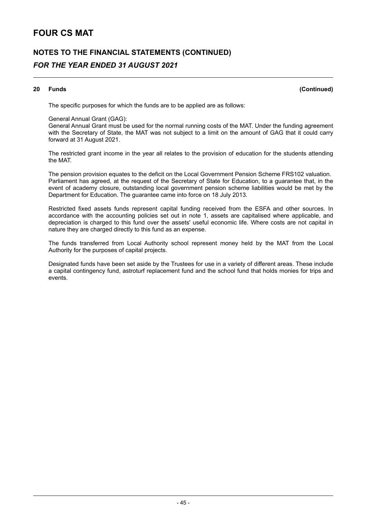# **NOTES TO THE FINANCIAL STATEMENTS (CONTINUED)** *FOR THE YEAR ENDED 31 AUGUST 2021*

#### **20 Funds (Continued)**

The specific purposes for which the funds are to be applied are as follows:

#### General Annual Grant (GAG):

General Annual Grant must be used for the normal running costs of the MAT. Under the funding agreement with the Secretary of State, the MAT was not subject to a limit on the amount of GAG that it could carry forward at 31 August 2021.

The restricted grant income in the year all relates to the provision of education for the students attending the MAT.

The pension provision equates to the deficit on the Local Government Pension Scheme FRS102 valuation. Parliament has agreed, at the request of the Secretary of State for Education, to a guarantee that, in the event of academy closure, outstanding local government pension scheme liabilities would be met by the Department for Education. The guarantee came into force on 18 July 2013.

Restricted fixed assets funds represent capital funding received from the ESFA and other sources. In accordance with the accounting policies set out in note 1, assets are capitalised where applicable, and depreciation is charged to this fund over the assets' useful economic life. Where costs are not capital in nature they are charged directly to this fund as an expense.

The funds transferred from Local Authority school represent money held by the MAT from the Local Authority for the purposes of capital projects.

Designated funds have been set aside by the Trustees for use in a variety of different areas. These include a capital contingency fund, astroturf replacement fund and the school fund that holds monies for trips and events.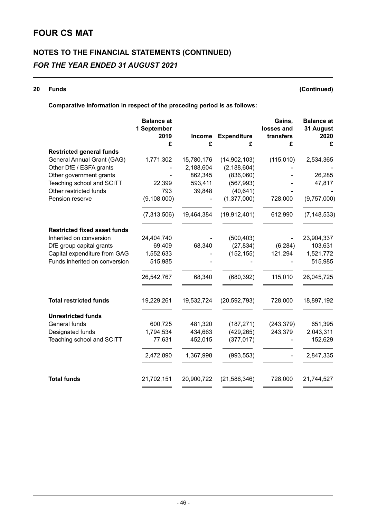# **NOTES TO THE FINANCIAL STATEMENTS (CONTINUED)** *FOR THE YEAR ENDED 31 AUGUST 2021*

#### **20 Funds (Continued)**

### **Comparative information in respect of the preceding period is as follows:**

|                                                               | <b>Balance at</b><br>1 September |               |                    | Gains,<br>losses and | <b>Balance</b> at<br>31 August |
|---------------------------------------------------------------|----------------------------------|---------------|--------------------|----------------------|--------------------------------|
|                                                               | 2019                             | <b>Income</b> | <b>Expenditure</b> | transfers            | 2020                           |
|                                                               | £                                | £             | £                  | £                    | £                              |
| <b>Restricted general funds</b><br>General Annual Grant (GAG) | 1,771,302                        | 15,780,176    | (14, 902, 103)     | (115,010)            | 2,534,365                      |
| Other DfE / ESFA grants                                       |                                  | 2,188,604     | (2, 188, 604)      |                      |                                |
| Other government grants                                       |                                  | 862,345       | (836,060)          |                      | 26,285                         |
| Teaching school and SCITT                                     | 22,399                           | 593,411       | (567, 993)         |                      | 47,817                         |
| Other restricted funds                                        | 793                              | 39,848        | (40, 641)          |                      |                                |
| Pension reserve                                               | (9, 108, 000)                    |               | (1, 377, 000)      | 728,000              | (9,757,000)                    |
|                                                               | (7,313,506)                      | 19,464,384    | (19, 912, 401)     | 612,990              | (7, 148, 533)                  |
| <b>Restricted fixed asset funds</b>                           |                                  |               |                    |                      |                                |
| Inherited on conversion                                       | 24,404,740                       |               | (500, 403)         |                      | 23,904,337                     |
| DfE group capital grants                                      | 69,409                           | 68,340        | (27, 834)          | (6, 284)             | 103,631                        |
| Capital expenditure from GAG                                  | 1,552,633                        |               | (152, 155)         | 121,294              | 1,521,772                      |
| Funds inherited on conversion                                 | 515,985                          |               |                    |                      | 515,985                        |
|                                                               | 26,542,767                       | 68,340        | (680, 392)         | 115,010              | 26,045,725                     |
| <b>Total restricted funds</b>                                 | 19,229,261                       | 19,532,724    | (20, 592, 793)     | 728,000              | 18,897,192                     |
| <b>Unrestricted funds</b>                                     |                                  |               |                    |                      |                                |
| General funds                                                 | 600,725                          | 481,320       | (187, 271)         | (243, 379)           | 651,395                        |
| Designated funds                                              | 1,794,534                        | 434,663       | (429, 265)         | 243,379              | 2,043,311                      |
| Teaching school and SCITT                                     | 77,631                           | 452,015       | (377, 017)         |                      | 152,629                        |
|                                                               | 2,472,890                        | 1,367,998     | (993, 553)         |                      | 2,847,335                      |
| <b>Total funds</b>                                            | 21,702,151                       | 20,900,722    | (21, 586, 346)     | 728,000              | 21,744,527                     |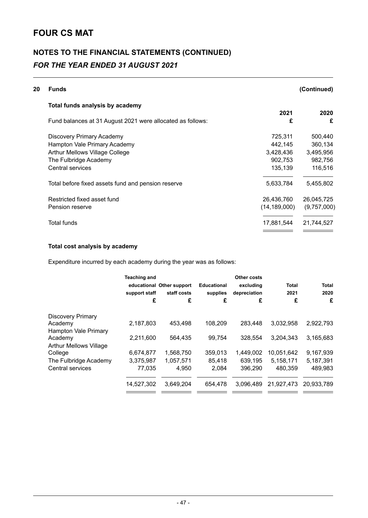# **NOTES TO THE FINANCIAL STATEMENTS (CONTINUED)** *FOR THE YEAR ENDED 31 AUGUST 2021*

| 20 | <b>Funds</b>                                               |                | (Continued) |
|----|------------------------------------------------------------|----------------|-------------|
|    | Total funds analysis by academy                            |                |             |
|    |                                                            | 2021           | 2020        |
|    | Fund balances at 31 August 2021 were allocated as follows: | £              | £           |
|    | Discovery Primary Academy                                  | 725,311        | 500,440     |
|    | Hampton Vale Primary Academy                               | 442,145        | 360,134     |
|    | <b>Arthur Mellows Village College</b>                      | 3,428,436      | 3,495,956   |
|    | The Fulbridge Academy                                      | 902,753        | 982,756     |
|    | Central services                                           | 135,139        | 116,516     |
|    | Total before fixed assets fund and pension reserve         | 5,633,784      | 5,455,802   |
|    | Restricted fixed asset fund                                | 26,436,760     | 26,045,725  |
|    | Pension reserve                                            | (14, 189, 000) | (9,757,000) |
|    | Total funds                                                | 17,881,544     | 21,744,527  |
|    |                                                            |                |             |

### **Total cost analysis by academy**

Expenditure incurred by each academy during the year was as follows:

|                               | <b>Teaching and</b><br>support staff<br>£ | educational Other support<br>staff costs<br>£ | <b>Educational</b><br>supplies<br>£ | Other costs<br>excluding<br>depreciation<br>£ | Total<br>2021<br>£ | Total<br>2020<br>£ |
|-------------------------------|-------------------------------------------|-----------------------------------------------|-------------------------------------|-----------------------------------------------|--------------------|--------------------|
| <b>Discovery Primary</b>      |                                           |                                               |                                     |                                               |                    |                    |
| Academy                       | 2.187.803                                 | 453.498                                       | 108,209                             | 283.448                                       | 3,032,958          | 2,922,793          |
| Hampton Vale Primary          |                                           |                                               |                                     |                                               |                    |                    |
| Academy                       | 2,211,600                                 | 564.435                                       | 99,754                              | 328.554                                       | 3,204,343          | 3,165,683          |
| <b>Arthur Mellows Village</b> |                                           |                                               |                                     |                                               |                    |                    |
| College                       | 6,674,877                                 | 1,568,750                                     | 359,013                             | 1.449.002                                     | 10,051,642         | 9,167,939          |
| The Fulbridge Academy         | 3,375,987                                 | 1.057.571                                     | 85.418                              | 639.195                                       | 5,158,171          | 5,187,391          |
| Central services              | 77.035                                    | 4.950                                         | 2.084                               | 396.290                                       | 480.359            | 489,983            |
|                               | 14,527,302                                | 3.649.204                                     | 654.478                             | 3.096.489                                     | 21,927,473         | 20.933.789         |
|                               |                                           |                                               |                                     |                                               |                    |                    |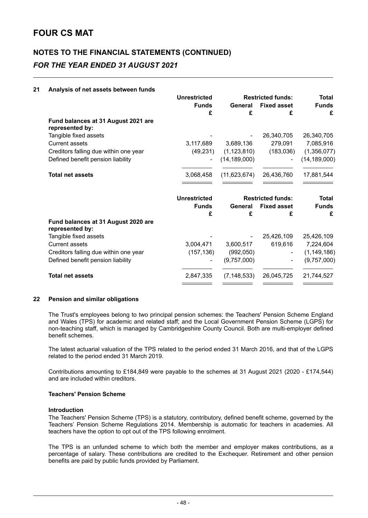# **NOTES TO THE FINANCIAL STATEMENTS (CONTINUED)** *FOR THE YEAR ENDED 31 AUGUST 2021*

#### **21 Analysis of net assets between funds**

| <b>Unrestricted</b> |                   |                    | <b>Total</b>                                                                                                   |
|---------------------|-------------------|--------------------|----------------------------------------------------------------------------------------------------------------|
|                     |                   |                    | <b>Funds</b><br>£                                                                                              |
|                     |                   |                    |                                                                                                                |
|                     |                   |                    |                                                                                                                |
|                     |                   | 26,340,705         | 26,340,705                                                                                                     |
| 3,117,689           | 3,689,136         | 279,091            | 7,085,916                                                                                                      |
| (49, 231)           | (1, 123, 810)     | (183, 036)         | (1,356,077)                                                                                                    |
|                     | (14, 189, 000)    |                    | (14, 189, 000)                                                                                                 |
| 3,068,458           | (11,623,674)      | 26,436,760         | 17,881,544                                                                                                     |
|                     |                   |                    |                                                                                                                |
| <b>Unrestricted</b> |                   |                    | <b>Total</b>                                                                                                   |
| <b>Funds</b>        | General           | <b>Fixed asset</b> | <b>Funds</b>                                                                                                   |
| £                   | £                 | £                  | £                                                                                                              |
|                     |                   |                    |                                                                                                                |
|                     |                   | 25,426,109         | 25,426,109                                                                                                     |
| 3,004,471           | 3,600,517         | 619,616            | 7,224,604                                                                                                      |
| (157, 136)          | (992,050)         |                    | (1, 149, 186)                                                                                                  |
|                     | (9,757,000)       |                    | (9,757,000)                                                                                                    |
| 2,847,335           |                   |                    | 21,744,527                                                                                                     |
|                     | <b>Funds</b><br>£ | General<br>£       | <b>Restricted funds:</b><br><b>Fixed asset</b><br>£<br><b>Restricted funds:</b><br>(7, 148, 533)<br>26,045,725 |

#### **22 Pension and similar obligations**

The Trust's employees belong to two principal pension schemes: the Teachers' Pension Scheme England and Wales (TPS) for academic and related staff; and the Local Government Pension Scheme (LGPS) for non-teaching staff, which is managed by Cambridgeshire County Council. Both are multi-employer defined benefit schemes.

The latest actuarial valuation of the TPS related to the period ended 31 March 2016, and that of the LGPS related to the period ended 31 March 2019.

Contributions amounting to £184,849 were payable to the schemes at 31 August 2021 (2020 - £174,544) and are included within creditors.

#### **Teachers' Pension Scheme**

#### **Introduction**

The Teachers' Pension Scheme (TPS) is a statutory, contributory, defined benefit scheme, governed by the Teachers' Pension Scheme Regulations 2014. Membership is automatic for teachers in academies. All teachers have the option to opt out of the TPS following enrolment.

The TPS is an unfunded scheme to which both the member and employer makes contributions, as a percentage of salary. These contributions are credited to the Exchequer. Retirement and other pension benefits are paid by public funds provided by Parliament.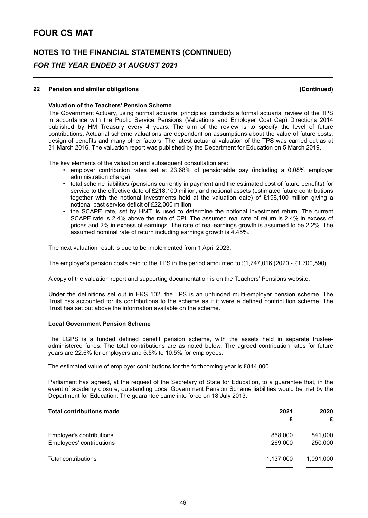### **NOTES TO THE FINANCIAL STATEMENTS (CONTINUED)** *FOR THE YEAR ENDED 31 AUGUST 2021*

#### **22 Pension and similar obligations (Continued)**

#### **Valuation of the Teachers' Pension Scheme**

The Government Actuary, using normal actuarial principles, conducts a formal actuarial review of the TPS in accordance with the Public Service Pensions (Valuations and Employer Cost Cap) Directions 2014 published by HM Treasury every 4 years. The aim of the review is to specify the level of future contributions. Actuarial scheme valuations are dependent on assumptions about the value of future costs, design of benefits and many other factors. The latest actuarial valuation of the TPS was carried out as at 31 March 2016. The valuation report was published by the Department for Education on 5 March 2019.

The key elements of the valuation and subsequent consultation are:

- employer contribution rates set at 23.68% of pensionable pay (including a 0.08% employer administration charge)
- total scheme liabilities (pensions currently in payment and the estimated cost of future benefits) for service to the effective date of £218,100 million, and notional assets (estimated future contributions together with the notional investments held at the valuation date) of £196,100 million giving a notional past service deficit of £22,000 million
- the SCAPE rate, set by HMT, is used to determine the notional investment return. The current SCAPE rate is 2.4% above the rate of CPI. The assumed real rate of return is 2.4% in excess of prices and 2% in excess of earnings. The rate of real earnings growth is assumed to be 2.2%. The assumed nominal rate of return including earnings growth is 4.45%.

The next valuation result is due to be implemented from 1 April 2023.

The employer's pension costs paid to the TPS in the period amounted to £1,747,016 (2020 - £1,700,590).

A copy of the valuation report and supporting documentation is on the Teachers' Pensions website.

Under the definitions set out in FRS 102, the TPS is an unfunded multi-employer pension scheme. The Trust has accounted for its contributions to the scheme as if it were a defined contribution scheme. The Trust has set out above the information available on the scheme.

#### **Local Government Pension Scheme**

The LGPS is a funded defined benefit pension scheme, with the assets held in separate trusteeadministered funds. The total contributions are as noted below. The agreed contribution rates for future years are 22.6% for employers and 5.5% to 10.5% for employees.

The estimated value of employer contributions for the forthcoming year is £844,000.

Parliament has agreed, at the request of the Secretary of State for Education, to a guarantee that, in the event of academy closure, outstanding Local Government Pension Scheme liabilities would be met by the Department for Education. The guarantee came into force on 18 July 2013.

| <b>Total contributions made</b>                      | 2021<br>£          | 2020<br>£          |
|------------------------------------------------------|--------------------|--------------------|
| Employer's contributions<br>Employees' contributions | 868,000<br>269,000 | 841,000<br>250,000 |
| Total contributions                                  | 1,137,000          | 1,091,000          |
|                                                      |                    |                    |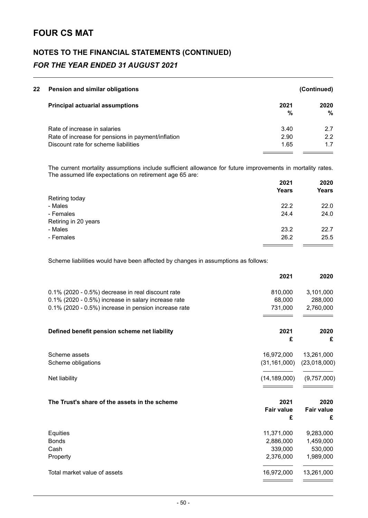# **NOTES TO THE FINANCIAL STATEMENTS (CONTINUED)** *FOR THE YEAR ENDED 31 AUGUST 2021*

|                                                                                                                                                                                                         | (Continued) |  |  |
|---------------------------------------------------------------------------------------------------------------------------------------------------------------------------------------------------------|-------------|--|--|
| 2021                                                                                                                                                                                                    | 2020        |  |  |
| %                                                                                                                                                                                                       | %           |  |  |
| 3.40                                                                                                                                                                                                    | 27          |  |  |
| 2.90                                                                                                                                                                                                    | 22          |  |  |
| 1.65                                                                                                                                                                                                    | 1.7         |  |  |
| Pension and similar obligations<br><b>Principal actuarial assumptions</b><br>Rate of increase in salaries<br>Rate of increase for pensions in payment/inflation<br>Discount rate for scheme liabilities |             |  |  |

The current mortality assumptions include sufficient allowance for future improvements in mortality rates. The assumed life expectations on retirement age 65 are:

|                      | 2021         | 2020         |
|----------------------|--------------|--------------|
|                      | <b>Years</b> | <b>Years</b> |
| Retiring today       |              |              |
| - Males              | 22.2         | 22.0         |
| - Females            | 24.4         | 24.0         |
| Retiring in 20 years |              |              |
| - Males              | 23.2         | 22.7         |
| - Females            | 26.2         | 25.5         |
|                      |              |              |

Scheme liabilities would have been affected by changes in assumptions as follows:

|                                                      | 2021              | 2020              |
|------------------------------------------------------|-------------------|-------------------|
| 0.1% (2020 - 0.5%) decrease in real discount rate    | 810,000           | 3,101,000         |
| 0.1% (2020 - 0.5%) increase in salary increase rate  | 68,000            | 288,000           |
| 0.1% (2020 - 0.5%) increase in pension increase rate | 731,000           | 2,760,000         |
| Defined benefit pension scheme net liability         | 2021              | 2020              |
|                                                      | £                 | £                 |
| Scheme assets                                        | 16,972,000        | 13,261,000        |
| Scheme obligations                                   | (31, 161, 000)    | (23,018,000)      |
| Net liability                                        | (14, 189, 000)    | (9,757,000)       |
| The Trust's share of the assets in the scheme        | 2021              | 2020              |
|                                                      | <b>Fair value</b> | <b>Fair value</b> |
|                                                      | £                 | £                 |
| Equities                                             | 11,371,000        | 9,283,000         |
| <b>Bonds</b>                                         | 2,886,000         | 1,459,000         |
| Cash                                                 | 339,000           | 530,000           |
| Property                                             | 2,376,000         | 1,989,000         |
| Total market value of assets                         | 16,972,000        | 13,261,000        |
|                                                      |                   |                   |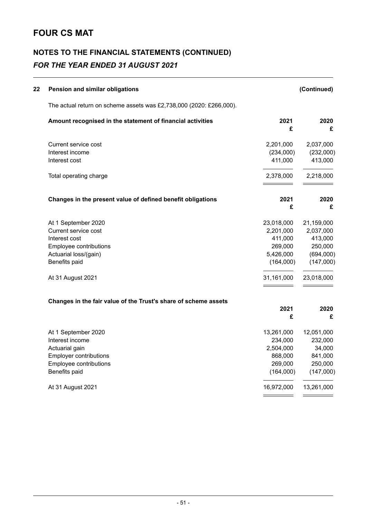# **NOTES TO THE FINANCIAL STATEMENTS (CONTINUED)** *FOR THE YEAR ENDED 31 AUGUST 2021*

| 22 | Pension and similar obligations                                     |            | (Continued) |
|----|---------------------------------------------------------------------|------------|-------------|
|    | The actual return on scheme assets was £2,738,000 (2020: £266,000). |            |             |
|    | Amount recognised in the statement of financial activities          | 2021<br>£  | 2020<br>£   |
|    | Current service cost                                                | 2,201,000  | 2,037,000   |
|    | Interest income                                                     | (234,000)  | (232,000)   |
|    | Interest cost                                                       | 411,000    | 413,000     |
|    | Total operating charge                                              | 2,378,000  | 2,218,000   |
|    | Changes in the present value of defined benefit obligations         | 2021       | 2020        |
|    |                                                                     | £          | £           |
|    | At 1 September 2020                                                 | 23,018,000 | 21,159,000  |
|    | Current service cost                                                | 2,201,000  | 2,037,000   |
|    | Interest cost                                                       | 411,000    | 413,000     |
|    | Employee contributions                                              | 269,000    | 250,000     |
|    | Actuarial loss/(gain)                                               | 5,426,000  | (694,000)   |
|    | Benefits paid                                                       | (164,000)  | (147,000)   |
|    | At 31 August 2021                                                   | 31,161,000 | 23,018,000  |
|    | Changes in the fair value of the Trust's share of scheme assets     |            |             |
|    |                                                                     | 2021<br>£  | 2020<br>£   |
|    | At 1 September 2020                                                 | 13,261,000 | 12,051,000  |
|    | Interest income                                                     | 234,000    | 232,000     |
|    | Actuarial gain                                                      | 2,504,000  | 34,000      |
|    | Employer contributions                                              | 868,000    | 841,000     |
|    | Employee contributions                                              | 269,000    | 250,000     |
|    | Benefits paid                                                       | (164,000)  | (147,000)   |
|    | At 31 August 2021                                                   | 16,972,000 | 13,261,000  |
|    |                                                                     |            |             |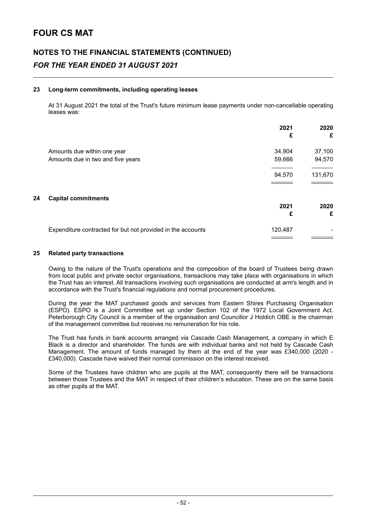# **NOTES TO THE FINANCIAL STATEMENTS (CONTINUED)** *FOR THE YEAR ENDED 31 AUGUST 2021*

#### **23 Long-term commitments, including operating leases**

At 31 August 2021 the total of the Trust's future minimum lease payments under non-cancellable operating leases was:

|    |                                                             | 2021<br>£ | 2020<br>£ |
|----|-------------------------------------------------------------|-----------|-----------|
|    | Amounts due within one year                                 | 34,904    | 37,100    |
|    | Amounts due in two and five years                           | 59,666    | 94,570    |
|    |                                                             | 94,570    | 131,670   |
| 24 | <b>Capital commitments</b>                                  |           |           |
|    |                                                             | 2021      | 2020      |
|    |                                                             | £         | £         |
|    | Expenditure contracted for but not provided in the accounts | 120,487   |           |
|    |                                                             |           |           |

#### **25 Related party transactions**

Owing to the nature of the Trust's operations and the composition of the board of Trustees being drawn from local public and private sector organisations, transactions may take place with organisations in which the Trust has an interest. All transactions involving such organisations are conducted at arm's length and in accordance with the Trust's financial regulations and normal procurement procedures.

During the year the MAT purchased goods and services from Eastern Shires Purchasing Organisation (ESPO). ESPO is a Joint Committee set up under Section 102 of the 1972 Local Government Act. Peterborough City Council is a member of the organisation and Councillor J Holdich OBE is the chairman of the management committee but receives no remuneration for his role.

The Trust has funds in bank accounts arranged via Cascade Cash Management, a company in which E Black is a director and shareholder. The funds are with individual banks and not held by Cascade Cash Management. The amount of funds managed by them at the end of the year was £340,000 (2020 - £340,000). Cascade have waived their normal commission on the interest received.

Some of the Trustees have children who are pupils at the MAT, consequently there will be transactions between those Trustees and the MAT in respect of their children's education. These are on the same basis as other pupils at the MAT.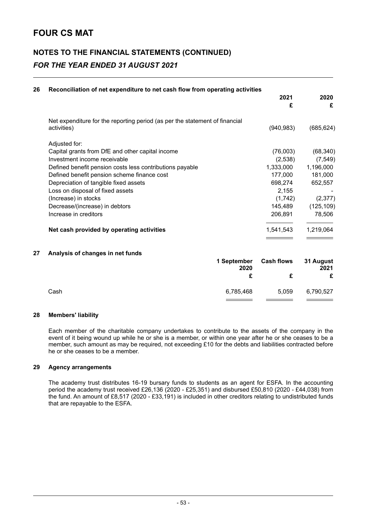# **NOTES TO THE FINANCIAL STATEMENTS (CONTINUED)** *FOR THE YEAR ENDED 31 AUGUST 2021*

| 26 | Reconciliation of net expenditure to net cash flow from operating activities                                                                                                                                                                                                                                                                                                 | 2021<br>£                                                                                        | 2020<br>£                                                                                    |
|----|------------------------------------------------------------------------------------------------------------------------------------------------------------------------------------------------------------------------------------------------------------------------------------------------------------------------------------------------------------------------------|--------------------------------------------------------------------------------------------------|----------------------------------------------------------------------------------------------|
|    | Net expenditure for the reporting period (as per the statement of financial<br>activities)                                                                                                                                                                                                                                                                                   | (940, 983)                                                                                       | (685, 624)                                                                                   |
|    | Adjusted for:<br>Capital grants from DfE and other capital income<br>Investment income receivable<br>Defined benefit pension costs less contributions payable<br>Defined benefit pension scheme finance cost<br>Depreciation of tangible fixed assets<br>Loss on disposal of fixed assets<br>(Increase) in stocks<br>Decrease/(increase) in debtors<br>Increase in creditors | (76,003)<br>(2,538)<br>1,333,000<br>177,000<br>698,274<br>2,155<br>(1,742)<br>145,489<br>206,891 | (68, 340)<br>(7, 549)<br>1,196,000<br>181,000<br>652,557<br>(2, 377)<br>(125, 109)<br>78,506 |
|    | Net cash provided by operating activities                                                                                                                                                                                                                                                                                                                                    | 1,541,543                                                                                        | 1,219,064                                                                                    |
| 27 | Analysis of changes in net funds<br>1 September<br>2020<br>£                                                                                                                                                                                                                                                                                                                 | <b>Cash flows</b><br>£                                                                           | 31 August<br>2021<br>£                                                                       |
|    | Cash<br>6,785,468                                                                                                                                                                                                                                                                                                                                                            | 5,059                                                                                            | 6,790,527                                                                                    |

#### **28 Members' liability**

Each member of the charitable company undertakes to contribute to the assets of the company in the event of it being wound up while he or she is a member, or within one year after he or she ceases to be a member, such amount as may be required, not exceeding £10 for the debts and liabilities contracted before he or she ceases to be a member.

#### **29 Agency arrangements**

The academy trust distributes 16-19 bursary funds to students as an agent for ESFA. In the accounting period the academy trust received £26,136 (2020 - £25,351) and disbursed £50,810 (2020 - £44,038) from the fund. An amount of £8,517 (2020 - £33,191) is included in other creditors relating to undistributed funds that are repayable to the ESFA.